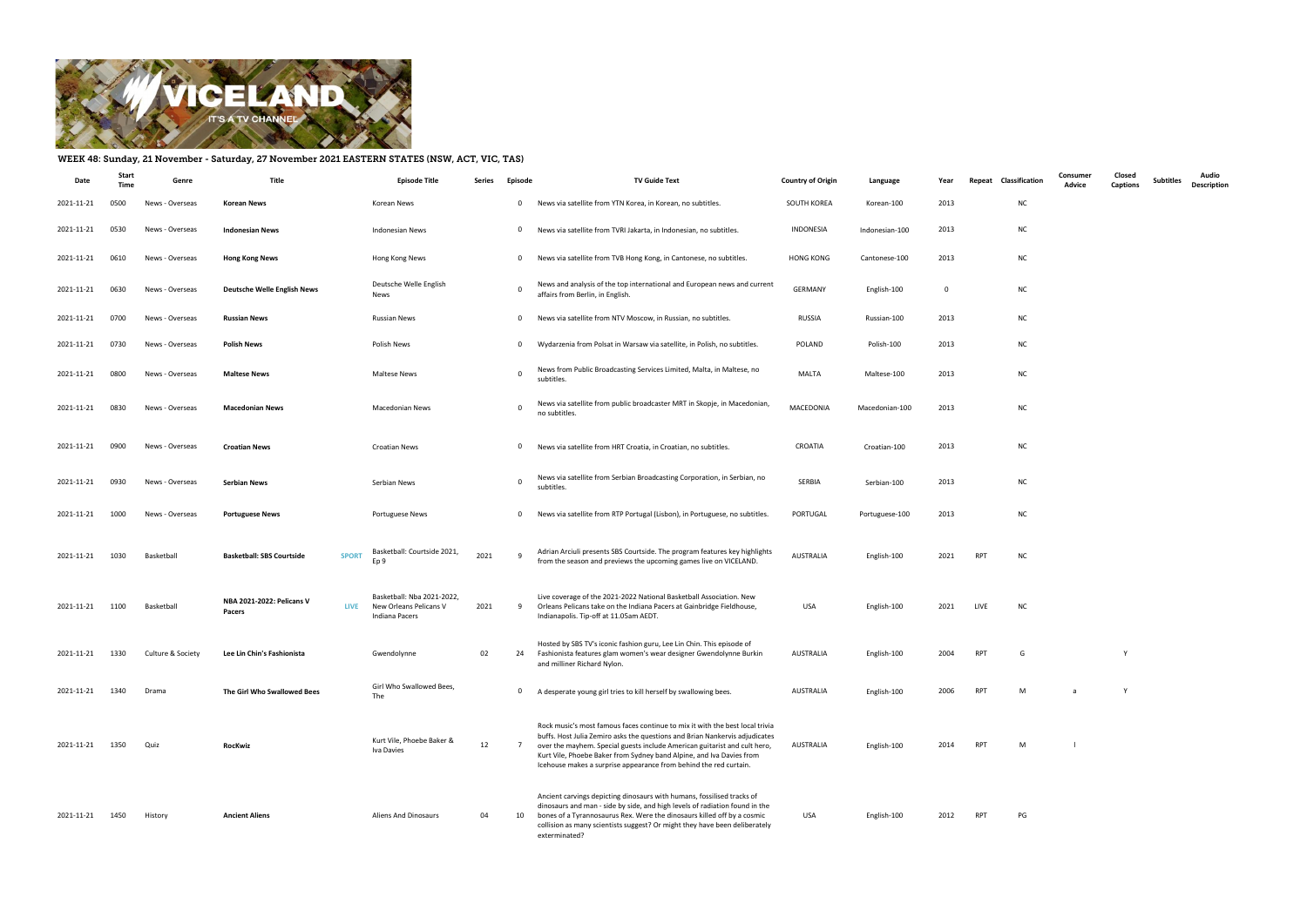

## WEEK 48: Sunday, 21 November - Saturday, 27 November 2021 EASTERN STATES (NSW, ACT, VIC, TAS)

| Date       | Stari | Genre             | <b>Title</b>                                       | <b>Episode Title</b>                                                   | Series | Episode        | <b>TV Guide Text</b>                                                                                                                                                                                                                                                                                                                                                                  | <b>Country of Origin</b> | Language       | Year        | Classification<br>Repeat | Consumer<br>Advice | Closed<br><b>Captions</b> | <b>Subtitles</b> | Audio<br><b>Description</b> |
|------------|-------|-------------------|----------------------------------------------------|------------------------------------------------------------------------|--------|----------------|---------------------------------------------------------------------------------------------------------------------------------------------------------------------------------------------------------------------------------------------------------------------------------------------------------------------------------------------------------------------------------------|--------------------------|----------------|-------------|--------------------------|--------------------|---------------------------|------------------|-----------------------------|
| 2021-11-21 | 0500  | News - Overseas   | Korean News                                        | Korean News                                                            |        | $\mathbf{0}$   | News via satellite from YTN Korea, in Korean, no subtitles.                                                                                                                                                                                                                                                                                                                           | SOUTH KOREA              | Korean-100     | 2013        | <b>NC</b>                |                    |                           |                  |                             |
| 2021-11-21 | 0530  | News - Overseas   | <b>Indonesian News</b>                             | Indonesian News                                                        |        | $\mathbf{0}$   | News via satellite from TVRI Jakarta, in Indonesian, no subtitles.                                                                                                                                                                                                                                                                                                                    | INDONESIA                | Indonesian-100 | 2013        | <b>NC</b>                |                    |                           |                  |                             |
| 2021-11-21 | 0610  | News - Overseas   | <b>Hong Kong News</b>                              | Hong Kong News                                                         |        | $\mathbf{0}$   | News via satellite from TVB Hong Kong, in Cantonese, no subtitles.                                                                                                                                                                                                                                                                                                                    | <b>HONG KONG</b>         | Cantonese-100  | 2013        | <b>NC</b>                |                    |                           |                  |                             |
| 2021-11-21 | 0630  | News - Overseas   | <b>Deutsche Welle English News</b>                 | Deutsche Welle English<br>News                                         |        |                | News and analysis of the top international and European news and current<br>affairs from Berlin, in English.                                                                                                                                                                                                                                                                          | <b>GERMANY</b>           | English-100    | $\mathbf 0$ | <b>NC</b>                |                    |                           |                  |                             |
| 2021-11-21 | 0700  | News - Overseas   | <b>Russian News</b>                                | Russian News                                                           |        | $\mathbf{0}$   | News via satellite from NTV Moscow, in Russian, no subtitles.                                                                                                                                                                                                                                                                                                                         | RUSSIA                   | Russian-100    | 2013        | <b>NC</b>                |                    |                           |                  |                             |
| 2021-11-21 | 0730  | News - Overseas   | <b>Polish News</b>                                 | Polish News                                                            |        | $\mathbf{0}$   | Wydarzenia from Polsat in Warsaw via satellite, in Polish, no subtitles.                                                                                                                                                                                                                                                                                                              | POLAND                   | Polish-100     | 2013        | <b>NC</b>                |                    |                           |                  |                             |
| 2021-11-21 | 0800  | News - Overseas   | <b>Maltese News</b>                                | <b>Maltese News</b>                                                    |        |                | News from Public Broadcasting Services Limited, Malta, in Maltese, no<br>subtitles.                                                                                                                                                                                                                                                                                                   | MALTA                    | Maltese-100    | 2013        | <b>NC</b>                |                    |                           |                  |                             |
| 2021-11-21 | 0830  | News - Overseas   | <b>Macedonian News</b>                             | Macedonian News                                                        |        | $\Omega$       | News via satellite from public broadcaster MRT in Skopje, in Macedonian,<br>no subtitles.                                                                                                                                                                                                                                                                                             | MACEDONIA                | Macedonian-100 | 2013        | <b>NC</b>                |                    |                           |                  |                             |
| 2021-11-21 | 0900  | News - Overseas   | <b>Croatian News</b>                               | Croatian News                                                          |        | $\mathbf{0}$   | News via satellite from HRT Croatia, in Croatian, no subtitles.                                                                                                                                                                                                                                                                                                                       | CROATIA                  | Croatian-100   | 2013        | <b>NC</b>                |                    |                           |                  |                             |
| 2021-11-21 | 0930  | News - Overseas   | <b>Serbian News</b>                                | Serbian News                                                           |        | $\mathbf 0$    | News via satellite from Serbian Broadcasting Corporation, in Serbian, no<br>subtitles.                                                                                                                                                                                                                                                                                                | SERBIA                   | Serbian-100    | 2013        | <b>NC</b>                |                    |                           |                  |                             |
| 2021-11-21 | 1000  | News - Overseas   | <b>Portuguese News</b>                             | Portuguese News                                                        |        | $\mathbf{0}$   | News via satellite from RTP Portugal (Lisbon), in Portuguese, no subtitles.                                                                                                                                                                                                                                                                                                           | PORTUGAL                 | Portuguese-100 | 2013        | <b>NC</b>                |                    |                           |                  |                             |
| 2021-11-21 | 1030  | Basketball        | <b>Basketball: SBS Courtside</b><br><b>SPORT</b>   | Basketball: Courtside 2021,<br>Ep 9                                    | 2021   | -9             | Adrian Arciuli presents SBS Courtside. The program features key highlights<br>from the season and previews the upcoming games live on VICELAND.                                                                                                                                                                                                                                       | AUSTRALIA                | English-100    | 2021        | <b>RPT</b><br><b>NC</b>  |                    |                           |                  |                             |
| 2021-11-21 | 1100  | Basketball        | NBA 2021-2022: Pelicans V<br><b>LIVE</b><br>Pacers | Basketball: Nba 2021-2022,<br>New Orleans Pelicans V<br>Indiana Pacers | 2021   | 9              | Live coverage of the 2021-2022 National Basketball Association. New<br>Orleans Pelicans take on the Indiana Pacers at Gainbridge Fieldhouse,<br>Indianapolis. Tip-off at 11.05am AEDT.                                                                                                                                                                                                | <b>USA</b>               | English-100    | 2021        | LIVE<br><b>NC</b>        |                    |                           |                  |                             |
| 2021-11-21 | 1330  | Culture & Society | Lee Lin Chin's Fashionista                         | Gwendolynne                                                            | 02     | 24             | Hosted by SBS TV's iconic fashion guru, Lee Lin Chin. This episode of<br>Fashionista features glam women's wear designer Gwendolynne Burkin<br>and milliner Richard Nylon.                                                                                                                                                                                                            | AUSTRALIA                | English-100    | 2004        | <b>RPT</b><br>G          |                    | Y                         |                  |                             |
| 2021-11-21 | 1340  | Drama             | The Girl Who Swallowed Bees                        | Girl Who Swallowed Bees,<br>The                                        |        |                | 0 A desperate young girl tries to kill herself by swallowing bees.                                                                                                                                                                                                                                                                                                                    | AUSTRALIA                | English-100    | 2006        | RPT<br>м                 | a                  | Y                         |                  |                             |
| 2021-11-21 | 1350  | Quiz              | RocKwiz                                            | Kurt Vile, Phoebe Baker &<br>Iva Davies                                | 12     | $\overline{7}$ | Rock music's most famous faces continue to mix it with the best local trivia<br>buffs. Host Julia Zemiro asks the questions and Brian Nankervis adjudicates<br>over the mayhem. Special guests include American guitarist and cult hero,<br>Kurt Vile, Phoebe Baker from Sydney band Alpine, and Iva Davies from<br>Icehouse makes a surprise appearance from behind the red curtain. | AUSTRALIA                | English-100    | 2014        | RPT<br>M                 |                    |                           |                  |                             |
| 2021-11-21 | 1450  | History           | <b>Ancient Aliens</b>                              | <b>Aliens And Dinosaurs</b>                                            | 04     | 10             | Ancient carvings depicting dinosaurs with humans, fossilised tracks of<br>dinosaurs and man - side by side, and high levels of radiation found in the<br>bones of a Tyrannosaurus Rex. Were the dinosaurs killed off by a cosmic<br>collision as many scientists suggest? Or might they have been deliberately<br>exterminated?                                                       | USA                      | English-100    | 2012        | PG<br>RPT                |                    |                           |                  |                             |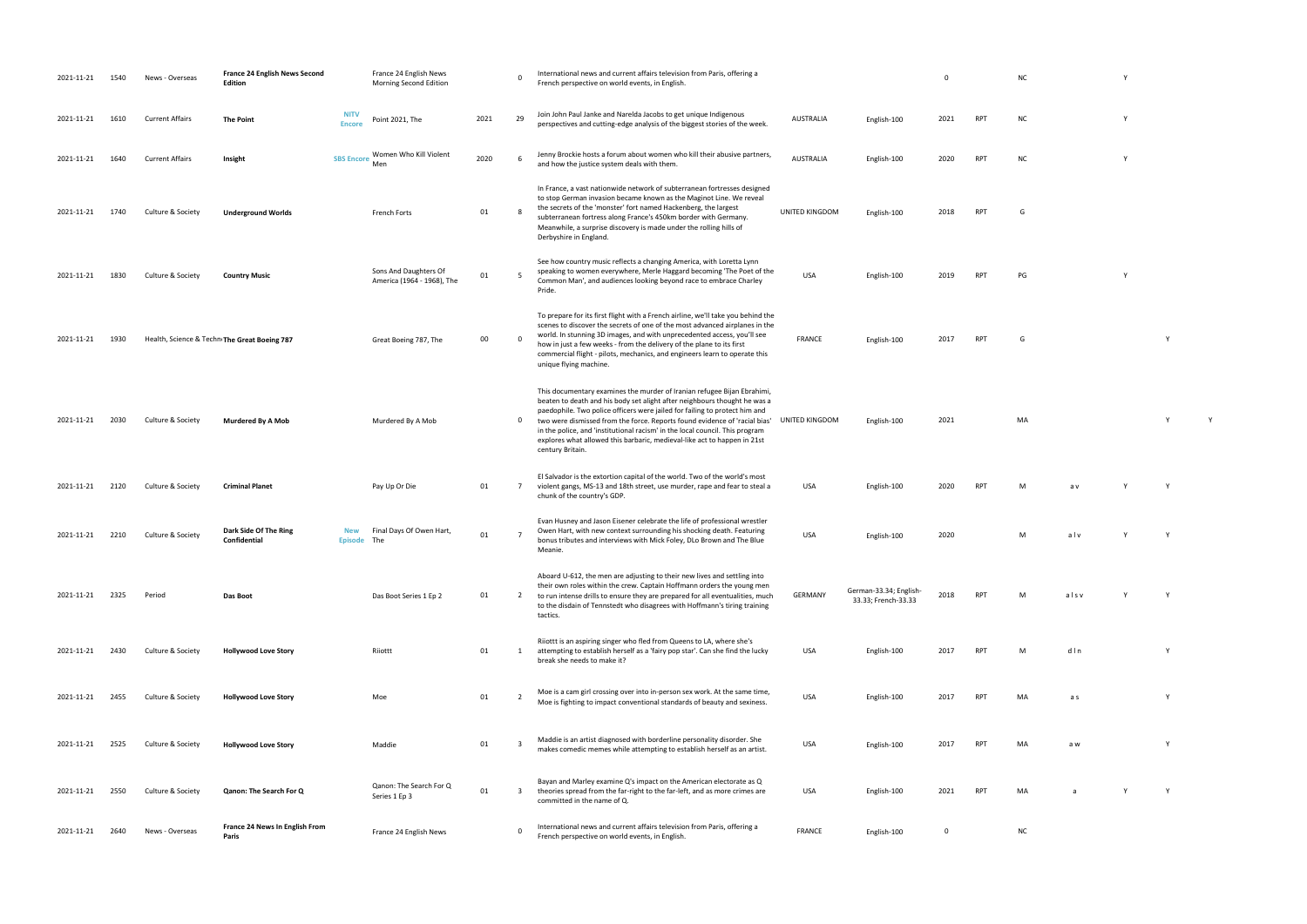- French perspective on world events, in English. <sup>0</sup> NC <sup>Y</sup>
- perspectives and cutting-edge and the biggest stories of the week. AUSTRALIA English-100 2021 RPT NC Y
- and how the justice system deals with the system of the system of them. AuSTRALIA English-100 2020 RPT NC Y
- UNITED KINGDOM English-100 2018 RPT G
	-
- RPT PG Y
- FRANCE ENGLISH-100 2017 RPT G
	-
	- UNITED KINGDOM English-100 2021 MA Y Y
	-
- RPT M av Y Y
	- USA English-100 2020 M a l v Y Y
	-
- 33.33; French-33.33 <sup>2018</sup> RPT <sup>M</sup> a l s v Y <sup>Y</sup>
- PT M d l n Y
- PT MA as Y
- makes come to establish herself as an artist. USA English-100 2017 RPT MA artist. USA English-100 2017 RPT MA <br>Personality of the english-100 2017 RPT MA a w Y Y 2017 RPT MA a w Y 2017 RPT MA a w Y 2017 RPT MA a w Y 2017
	-
- PT MA a Y Y
	-
	-
- 
- 
- 
- 
- 
- 
- 
- 
- 
- 
- 
- 
- 
- 
- 
- 

| 2021-11-21 | 1540 | News - Overseas        | <b>France 24 English News Second</b><br><b>Edition</b> |                              | France 24 English News<br>Morning Second Edition    |      | $\Omega$       | International news and current affairs television from Paris, offering a<br>French perspective on world events, in English.                                                                                                                                                                                                                                                                                                                                                                      |                  |                                               | $\Omega$ |            | N <sub>C</sub> |
|------------|------|------------------------|--------------------------------------------------------|------------------------------|-----------------------------------------------------|------|----------------|--------------------------------------------------------------------------------------------------------------------------------------------------------------------------------------------------------------------------------------------------------------------------------------------------------------------------------------------------------------------------------------------------------------------------------------------------------------------------------------------------|------------------|-----------------------------------------------|----------|------------|----------------|
| 2021-11-21 | 1610 | <b>Current Affairs</b> | <b>The Point</b>                                       | <b>NITV</b><br><b>Encore</b> | Point 2021, The                                     | 2021 | 29             | Join John Paul Janke and Narelda Jacobs to get unique Indigenous<br>perspectives and cutting-edge analysis of the biggest stories of the week.                                                                                                                                                                                                                                                                                                                                                   | <b>AUSTRALIA</b> | English-100                                   | 2021     | <b>RPT</b> | N0             |
| 2021-11-21 | 1640 | <b>Current Affairs</b> | Insight                                                | <b>SBS Encore</b>            | Women Who Kill Violent<br>Men                       | 2020 | 6              | Jenny Brockie hosts a forum about women who kill their abusive partners,<br>and how the justice system deals with them.                                                                                                                                                                                                                                                                                                                                                                          | <b>AUSTRALIA</b> | English-100                                   | 2020     | RPT        | N0             |
| 2021-11-21 | 1740 | Culture & Society      | <b>Underground Worlds</b>                              |                              | French Forts                                        | 01   | 8              | In France, a vast nationwide network of subterranean fortresses designed<br>to stop German invasion became known as the Maginot Line. We reveal<br>the secrets of the 'monster' fort named Hackenberg, the largest<br>subterranean fortress along France's 450km border with Germany.<br>Meanwhile, a surprise discovery is made under the rolling hills of<br>Derbyshire in England.                                                                                                            | UNITED KINGDOM   | English-100                                   | 2018     | <b>RPT</b> | G              |
| 2021-11-21 | 1830 | Culture & Society      | <b>Country Music</b>                                   |                              | Sons And Daughters Of<br>America (1964 - 1968), The | 01   | 5              | See how country music reflects a changing America, with Loretta Lynn<br>speaking to women everywhere, Merle Haggard becoming 'The Poet of the<br>Common Man', and audiences looking beyond race to embrace Charley<br>Pride.                                                                                                                                                                                                                                                                     | <b>USA</b>       | English-100                                   | 2019     | <b>RPT</b> | PG             |
| 2021-11-21 | 1930 |                        | Health, Science & Techn The Great Boeing 787           |                              | Great Boeing 787, The                               | 00   |                | To prepare for its first flight with a French airline, we'll take you behind the<br>scenes to discover the secrets of one of the most advanced airplanes in the<br>world. In stunning 3D images, and with unprecedented access, you'll see<br>how in just a few weeks - from the delivery of the plane to its first<br>commercial flight - pilots, mechanics, and engineers learn to operate this<br>unique flying machine.                                                                      | <b>FRANCE</b>    | English-100                                   | 2017     | <b>RPT</b> | G              |
| 2021-11-21 | 2030 | Culture & Society      | <b>Murdered By A Mob</b>                               |                              | Murdered By A Mob                                   |      | 0              | This documentary examines the murder of Iranian refugee Bijan Ebrahimi,<br>beaten to death and his body set alight after neighbours thought he was a<br>paedophile. Two police officers were jailed for failing to protect him and<br>two were dismissed from the force. Reports found evidence of 'racial bias'<br>in the police, and 'institutional racism' in the local council. This program<br>explores what allowed this barbaric, medieval-like act to happen in 21st<br>century Britain. | UNITED KINGDOM   | English-100                                   | 2021     |            | M/             |
| 2021-11-21 | 2120 | Culture & Society      | <b>Criminal Planet</b>                                 |                              | Pay Up Or Die                                       | 01   | 7              | El Salvador is the extortion capital of the world. Two of the world's most<br>violent gangs, MS-13 and 18th street, use murder, rape and fear to steal a<br>chunk of the country's GDP.                                                                                                                                                                                                                                                                                                          | <b>USA</b>       | English-100                                   | 2020     | <b>RPT</b> | M              |
| 2021-11-21 | 2210 | Culture & Society      | Dark Side Of The Ring<br>Confidential                  | <b>New</b><br><b>Episode</b> | Final Days Of Owen Hart,<br>The                     | 01   |                | Evan Husney and Jason Eisener celebrate the life of professional wrestler<br>Owen Hart, with new context surrounding his shocking death. Featuring<br>bonus tributes and interviews with Mick Foley, DLo Brown and The Blue<br>Meanie.                                                                                                                                                                                                                                                           | <b>USA</b>       | English-100                                   | 2020     |            | M              |
| 2021-11-21 | 2325 | Period                 | Das Boot                                               |                              | Das Boot Series 1 Ep 2                              | 01   | $\overline{2}$ | Aboard U-612, the men are adjusting to their new lives and settling into<br>their own roles within the crew. Captain Hoffmann orders the young men<br>to run intense drills to ensure they are prepared for all eventualities, much<br>to the disdain of Tennstedt who disagrees with Hoffmann's tiring training<br>tactics.                                                                                                                                                                     | GERMANY          | German-33.34; English-<br>33.33; French-33.33 | 2018     | <b>RPT</b> | M              |
| 2021-11-21 | 2430 | Culture & Society      | <b>Hollywood Love Story</b>                            |                              | Riiottt                                             | 01   | 1              | Riiottt is an aspiring singer who fled from Queens to LA, where she's<br>attempting to establish herself as a 'fairy pop star'. Can she find the lucky<br>break she needs to make it?                                                                                                                                                                                                                                                                                                            | <b>USA</b>       | English-100                                   | 2017     | <b>RPT</b> | M              |
| 2021-11-21 | 2455 | Culture & Society      | <b>Hollywood Love Story</b>                            |                              | Moe                                                 | 01   | 2              | Moe is a cam girl crossing over into in-person sex work. At the same time,<br>Moe is fighting to impact conventional standards of beauty and sexiness.                                                                                                                                                                                                                                                                                                                                           | <b>USA</b>       | English-100                                   | 2017     | <b>RPT</b> |                |
| 2021-11-21 | 2525 | Culture & Society      | <b>Hollywood Love Story</b>                            |                              | Maddie                                              | 01   | 3              | Maddie is an artist diagnosed with borderline personality disorder. She<br>makes comedic memes while attempting to establish herself as an artist.                                                                                                                                                                                                                                                                                                                                               | <b>USA</b>       | English-100                                   | 2017     | <b>RPT</b> | M/             |
| 2021-11-21 | 2550 | Culture & Society      | Qanon: The Search For Q                                |                              | Qanon: The Search For Q<br>Series 1 Ep 3            | 01   | 3              | Bayan and Marley examine Q's impact on the American electorate as Q<br>theories spread from the far-right to the far-left, and as more crimes are<br>committed in the name of Q.                                                                                                                                                                                                                                                                                                                 | USA              | English-100                                   | 2021     | RPT        | M/             |
| 2021-11-21 | 2640 | News - Overseas        | France 24 News In English From<br>Paris                |                              | France 24 English News                              |      |                | International news and current affairs television from Paris, offering a<br>French perspective on world events, in English.                                                                                                                                                                                                                                                                                                                                                                      | <b>FRANCE</b>    | English-100                                   | 0        |            |                |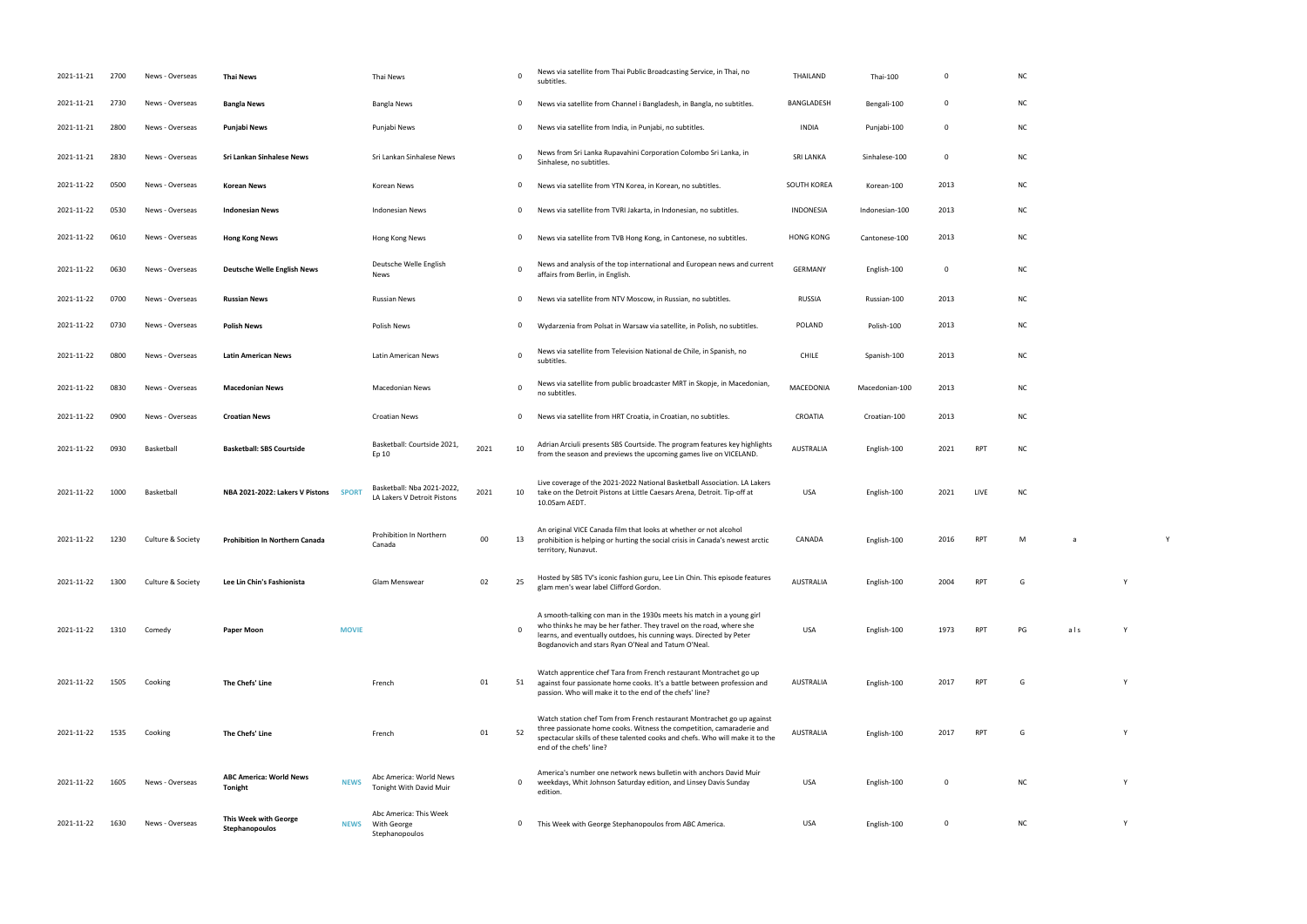RPT M a Y glam men's wear label Clifford Gordon. AUSTRALIA English-100 <sup>2004</sup> RPT <sup>G</sup> <sup>Y</sup>

RPT PG als Y AUSTRALIA English-100 2017 RPT G Y RPT G Y

| 2021-11-21 | 2700 | News - Overseas   | <b>Thai News</b>                          |              | Thai News                                                 |      | $\Omega$     | News via satellite from Thai Public Broadcasting Service, in Thai, no<br>subtitles.                                                                                                                                                                                        | THAILAND         | Thai-100       | 0           |            | <b>NC</b> |
|------------|------|-------------------|-------------------------------------------|--------------|-----------------------------------------------------------|------|--------------|----------------------------------------------------------------------------------------------------------------------------------------------------------------------------------------------------------------------------------------------------------------------------|------------------|----------------|-------------|------------|-----------|
| 2021-11-21 | 2730 | News - Overseas   | <b>Bangla News</b>                        |              | <b>Bangla News</b>                                        |      | 0            | News via satellite from Channel i Bangladesh, in Bangla, no subtitles.                                                                                                                                                                                                     | BANGLADESH       | Bengali-100    | 0           |            | N0        |
| 2021-11-21 | 2800 | News - Overseas   | <b>Punjabi News</b>                       |              | Punjabi News                                              |      | 0            | News via satellite from India, in Punjabi, no subtitles.                                                                                                                                                                                                                   | <b>INDIA</b>     | Punjabi-100    | $\mathbf 0$ |            | NO        |
| 2021-11-21 | 2830 | News - Overseas   | Sri Lankan Sinhalese News                 |              | Sri Lankan Sinhalese News                                 |      | $\Omega$     | News from Sri Lanka Rupavahini Corporation Colombo Sri Lanka, in<br>Sinhalese, no subtitles.                                                                                                                                                                               | <b>SRI LANKA</b> | Sinhalese-100  | 0           |            | NO        |
| 2021-11-22 | 0500 | News - Overseas   | <b>Korean News</b>                        |              | Korean News                                               |      | 0            | News via satellite from YTN Korea, in Korean, no subtitles.                                                                                                                                                                                                                | SOUTH KOREA      | Korean-100     | 2013        |            | <b>NC</b> |
| 2021-11-22 | 0530 | News - Overseas   | <b>Indonesian News</b>                    |              | <b>Indonesian News</b>                                    |      | $\mathbf{0}$ | News via satellite from TVRI Jakarta, in Indonesian, no subtitles.                                                                                                                                                                                                         | INDONESIA        | Indonesian-100 | 2013        |            | <b>NC</b> |
| 2021-11-22 | 0610 | News - Overseas   | <b>Hong Kong News</b>                     |              | Hong Kong News                                            |      | 0            | News via satellite from TVB Hong Kong, in Cantonese, no subtitles.                                                                                                                                                                                                         | <b>HONG KONG</b> | Cantonese-100  | 2013        |            | NO        |
| 2021-11-22 | 0630 | News - Overseas   | <b>Deutsche Welle English News</b>        |              | Deutsche Welle English<br>News                            |      | $\Omega$     | News and analysis of the top international and European news and current<br>affairs from Berlin, in English.                                                                                                                                                               | <b>GERMANY</b>   | English-100    | $\mathbf 0$ |            | <b>NC</b> |
| 2021-11-22 | 0700 | News - Overseas   | <b>Russian News</b>                       |              | <b>Russian News</b>                                       |      | 0            | News via satellite from NTV Moscow, in Russian, no subtitles.                                                                                                                                                                                                              | <b>RUSSIA</b>    | Russian-100    | 2013        |            | NO        |
| 2021-11-22 | 0730 | News - Overseas   | <b>Polish News</b>                        |              | Polish News                                               |      | 0            | Wydarzenia from Polsat in Warsaw via satellite, in Polish, no subtitles.                                                                                                                                                                                                   | <b>POLAND</b>    | Polish-100     | 2013        |            | NO        |
| 2021-11-22 | 0800 | News - Overseas   | <b>Latin American News</b>                |              | Latin American News                                       |      | $\Omega$     | News via satellite from Television National de Chile, in Spanish, no<br>subtitles.                                                                                                                                                                                         | <b>CHILE</b>     | Spanish-100    | 2013        |            | N0        |
| 2021-11-22 | 0830 | News - Overseas   | <b>Macedonian News</b>                    |              | <b>Macedonian News</b>                                    |      | $\Omega$     | News via satellite from public broadcaster MRT in Skopje, in Macedonian,<br>no subtitles.                                                                                                                                                                                  | MACEDONIA        | Macedonian-100 | 2013        |            | N0        |
| 2021-11-22 | 0900 | News - Overseas   | <b>Croatian News</b>                      |              | <b>Croatian News</b>                                      |      | 0            | News via satellite from HRT Croatia, in Croatian, no subtitles.                                                                                                                                                                                                            | CROATIA          | Croatian-100   | 2013        |            | NO        |
| 2021-11-22 | 0930 | Basketball        | <b>Basketball: SBS Courtside</b>          |              | Basketball: Courtside 2021,<br>Ep 10                      | 2021 | 10           | Adrian Arciuli presents SBS Courtside. The program features key highlights<br>from the season and previews the upcoming games live on VICELAND.                                                                                                                            | AUSTRALIA        | English-100    | 2021        | <b>RPT</b> | N0        |
| 2021-11-22 | 1000 | Basketball        | NBA 2021-2022: Lakers V Pistons SPORT     |              | Basketball: Nba 2021-2022,<br>LA Lakers V Detroit Pistons | 2021 | 10           | Live coverage of the 2021-2022 National Basketball Association. LA Lakers<br>take on the Detroit Pistons at Little Caesars Arena, Detroit. Tip-off at<br>10.05am AEDT.                                                                                                     | USA              | English-100    | 2021        | LIVE       | N0        |
| 2021-11-22 | 1230 | Culture & Society | <b>Prohibition In Northern Canada</b>     |              | Prohibition In Northern<br>Canada                         | 00   | 13           | An original VICE Canada film that looks at whether or not alcohol<br>prohibition is helping or hurting the social crisis in Canada's newest arctic<br>territory, Nunavut.                                                                                                  | CANADA           | English-100    | 2016        | <b>RPT</b> | M         |
| 2021-11-22 | 1300 | Culture & Society | Lee Lin Chin's Fashionista                |              | Glam Menswear                                             | 02   | 25           | Hosted by SBS TV's iconic fashion guru, Lee Lin Chin. This episode features<br>glam men's wear label Clifford Gordon.                                                                                                                                                      | <b>AUSTRALIA</b> | English-100    | 2004        | RPT        | G         |
| 2021-11-22 | 1310 | Comedy            | Paper Moon                                | <b>MOVIE</b> |                                                           |      |              | A smooth-talking con man in the 1930s meets his match in a young girl<br>who thinks he may be her father. They travel on the road, where she<br>learns, and eventually outdoes, his cunning ways. Directed by Peter<br>Bogdanovich and stars Ryan O'Neal and Tatum O'Neal. | <b>USA</b>       | English-100    | 1973        | <b>RPT</b> | PG        |
| 2021-11-22 | 1505 | Cooking           | The Chefs' Line                           |              | French                                                    | 01   | 51           | Watch apprentice chef Tara from French restaurant Montrachet go up<br>against four passionate home cooks. It's a battle between profession and<br>passion. Who will make it to the end of the chefs' line?                                                                 | AUSTRALIA        | English-100    | 2017        | <b>RPT</b> | G         |
| 2021-11-22 | 1535 | Cooking           | The Chefs' Line                           |              | French                                                    | 01   | 52           | Watch station chef Tom from French restaurant Montrachet go up against<br>three passionate home cooks. Witness the competition, camaraderie and<br>spectacular skills of these talented cooks and chefs. Who will make it to the<br>end of the chefs' line?                | <b>AUSTRALIA</b> | English-100    | 2017        | RPT        | G         |
| 2021-11-22 | 1605 | News - Overseas   | <b>ABC America: World News</b><br>Tonight | <b>NEWS</b>  | Abc America: World News<br>Tonight With David Muir        |      | 0            | America's number one network news bulletin with anchors David Muir<br>weekdays, Whit Johnson Saturday edition, and Linsey Davis Sunday<br>edition.                                                                                                                         | <b>USA</b>       | English-100    | 0           |            |           |
| 2021-11-22 | 1630 | News - Overseas   | This Week with George<br>Stephanopoulos   | <b>NEWS</b>  | Abc America: This Week<br>With George<br>Stephanopoulos   |      | 0            | This Week with George Stephanopoulos from ABC America.                                                                                                                                                                                                                     | <b>USA</b>       | English-100    | $\mathbf 0$ |            |           |

|     | NC         |  |
|-----|------------|--|
|     | NC         |  |
|     | NC         |  |
|     | ${\sf NC}$ |  |
|     | NC         |  |
|     | ${\sf NC}$ |  |
|     | NC         |  |
|     | NC         |  |
|     | NC         |  |
|     | NC         |  |
|     | ${\sf NC}$ |  |
|     | ${\sf NC}$ |  |
|     | NC         |  |
| RPT | <b>NC</b>  |  |

USA English-100 2021 LIVE NC

USA English-100 0 NC Y 0 This Week with George Stephanopoulos from ABC America. USA English-100 0 NC Y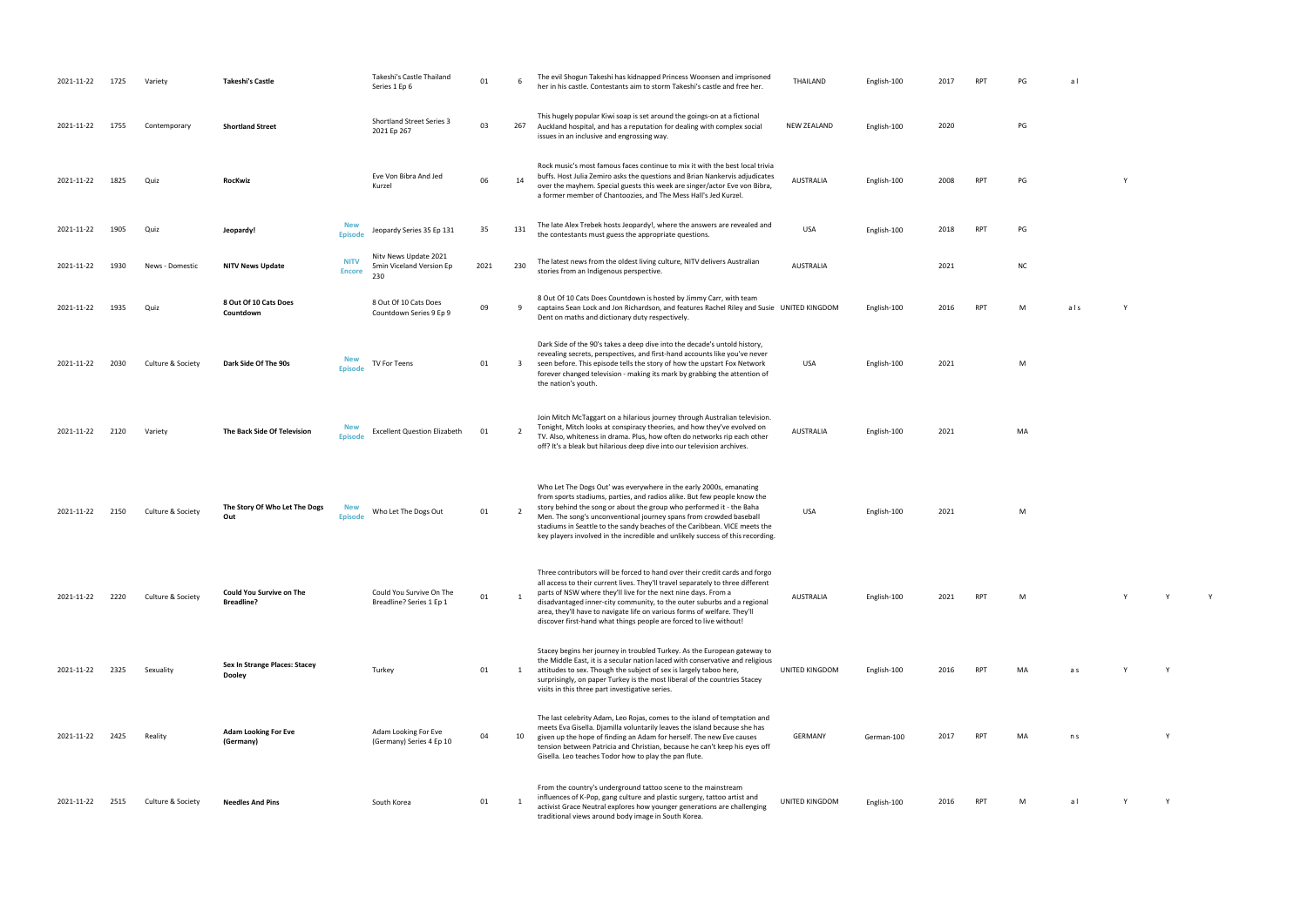| 2021-11-22 | 1725 | Variety           | <b>Takeshi's Castle</b>                              |                              | Takeshi's Castle Thailand<br>Series 1 Ep 6               | 01   | -6             | The evil Shogun Takeshi has kidnapped Princess Woonsen and imprisoned<br>her in his castle. Contestants aim to storm Takeshi's castle and free her.                                                                                                                                                                                                                                                                                                           | THAILAND         | English-100 | 2017 |            | PG        | al  |          |
|------------|------|-------------------|------------------------------------------------------|------------------------------|----------------------------------------------------------|------|----------------|---------------------------------------------------------------------------------------------------------------------------------------------------------------------------------------------------------------------------------------------------------------------------------------------------------------------------------------------------------------------------------------------------------------------------------------------------------------|------------------|-------------|------|------------|-----------|-----|----------|
| 2021-11-22 | 1755 | Contemporary      | <b>Shortland Street</b>                              |                              | <b>Shortland Street Series 3</b><br>2021 Ep 267          | 03   | 267            | This hugely popular Kiwi soap is set around the goings-on at a fictional<br>Auckland hospital, and has a reputation for dealing with complex social<br>issues in an inclusive and engrossing way.                                                                                                                                                                                                                                                             | NEW ZEALAND      | English-100 | 2020 |            | PG        |     |          |
| 2021-11-22 | 1825 | Quiz              | RocKwiz                                              |                              | Eve Von Bibra And Jed<br>Kurzel                          | 06   | 14             | Rock music's most famous faces continue to mix it with the best local trivia<br>buffs. Host Julia Zemiro asks the questions and Brian Nankervis adjudicates<br>over the mayhem. Special guests this week are singer/actor Eve von Bibra,<br>a former member of Chantoozies, and The Mess Hall's Jed Kurzel.                                                                                                                                                   | AUSTRALIA        | English-100 | 2008 | <b>RPT</b> | PG        |     |          |
| 2021-11-22 | 1905 | Quiz              | Jeopardy!                                            | <b>New</b><br><b>Episod</b>  | Jeopardy Series 35 Ep 131                                | 35   | 131            | The late Alex Trebek hosts Jeopardy!, where the answers are revealed and<br>the contestants must guess the appropriate questions.                                                                                                                                                                                                                                                                                                                             | <b>USA</b>       | English-100 | 2018 | <b>RPT</b> | PG        |     |          |
| 2021-11-22 | 1930 | News - Domestic   | <b>NITV News Update</b>                              | <b>NITV</b><br><b>Encore</b> | Nitv News Update 2021<br>5min Viceland Version Ep<br>230 | 2021 | 230            | The latest news from the oldest living culture, NITV delivers Australian<br>stories from an Indigenous perspective.                                                                                                                                                                                                                                                                                                                                           | <b>AUSTRALIA</b> |             | 2021 |            | <b>NC</b> |     |          |
| 2021-11-22 | 1935 | Quiz              | 8 Out Of 10 Cats Does<br>Countdown                   |                              | 8 Out Of 10 Cats Does<br>Countdown Series 9 Ep 9         | 09   | 9              | 8 Out Of 10 Cats Does Countdown is hosted by Jimmy Carr, with team<br>captains Sean Lock and Jon Richardson, and features Rachel Riley and Susie UNITED KINGDOM<br>Dent on maths and dictionary duty respectively.                                                                                                                                                                                                                                            |                  | English-100 | 2016 | <b>RPT</b> | M         | als |          |
| 2021-11-22 | 2030 | Culture & Society | Dark Side Of The 90s                                 | <b>New</b><br><b>Episode</b> | TV For Teens                                             | 01   | 3              | Dark Side of the 90's takes a deep dive into the decade's untold history,<br>revealing secrets, perspectives, and first-hand accounts like you've never<br>seen before. This episode tells the story of how the upstart Fox Network<br>forever changed television - making its mark by grabbing the attention of<br>the nation's youth.                                                                                                                       | <b>USA</b>       | English-100 | 2021 |            | M         |     |          |
| 2021-11-22 | 2120 | Variety           | The Back Side Of Television                          | <b>New</b><br><b>Episode</b> | <b>Excellent Question Elizabeth</b>                      | 01   | 2              | Join Mitch McTaggart on a hilarious journey through Australian television.<br>Tonight, Mitch looks at conspiracy theories, and how they've evolved on<br>TV. Also, whiteness in drama. Plus, how often do networks rip each other<br>off? It's a bleak but hilarious deep dive into our television archives.                                                                                                                                                  | AUSTRALIA        | English-100 | 2021 |            | MA        |     |          |
| 2021-11-22 | 2150 | Culture & Society | The Story Of Who Let The Dogs<br>Out                 | <b>New</b><br><b>Episode</b> | Who Let The Dogs Out                                     | 01   | $\overline{2}$ | Who Let The Dogs Out' was everywhere in the early 2000s, emanating<br>from sports stadiums, parties, and radios alike. But few people know the<br>story behind the song or about the group who performed it - the Baha<br>Men. The song's unconventional journey spans from crowded baseball<br>stadiums in Seattle to the sandy beaches of the Caribbean. VICE meets the<br>key players involved in the incredible and unlikely success of this recording.   | <b>USA</b>       | English-100 | 2021 |            | M         |     |          |
| 2021-11-22 | 2220 | Culture & Society | <b>Could You Survive on The</b><br><b>Breadline?</b> |                              | Could You Survive On The<br>Breadline? Series 1 Ep 1     | 01   |                | Three contributors will be forced to hand over their credit cards and forgo<br>all access to their current lives. They'll travel separately to three different<br>parts of NSW where they'll live for the next nine days. From a<br>disadvantaged inner-city community, to the outer suburbs and a regional<br>area, they'll have to navigate life on various forms of welfare. They'll<br>discover first-hand what things people are forced to live without! | AUSTRALIA        | English-100 | 2021 | <b>RPT</b> | M         |     | <b>Y</b> |
| 2021-11-22 | 2325 | Sexuality         | Sex In Strange Places: Stacey<br>Dooley              |                              | Turkey                                                   | 01   | 1              | Stacey begins her journey in troubled Turkey. As the European gateway to<br>the Middle East, it is a secular nation laced with conservative and religious<br>attitudes to sex. Though the subject of sex is largely taboo here,<br>surprisingly, on paper Turkey is the most liberal of the countries Stacey<br>visits in this three part investigative series.                                                                                               | UNITED KINGDOM   | English-100 | 2016 | <b>RPT</b> | MA        | a s |          |
| 2021-11-22 | 2425 | Reality           | <b>Adam Looking For Eve</b><br>(Germany)             |                              | Adam Looking For Eve<br>(Germany) Series 4 Ep 10         | 04   | 10             | The last celebrity Adam, Leo Rojas, comes to the island of temptation and<br>meets Eva Gisella. Djamilla voluntarily leaves the island because she has<br>given up the hope of finding an Adam for herself. The new Eve causes<br>tension between Patricia and Christian, because he can't keep his eyes off<br>Gisella. Leo teaches Todor how to play the pan flute.                                                                                         | GERMANY          | German-100  | 2017 | RPT        | MA        | n s |          |
| 2021-11-22 | 2515 | Culture & Society | <b>Needles And Pins</b>                              |                              | South Korea                                              | 01   |                | From the country's underground tattoo scene to the mainstream<br>influences of K-Pop, gang culture and plastic surgery, tattoo artist and<br>activist Grace Neutral explores how younger generations are challenging<br>traditional views around body image in South Korea.                                                                                                                                                                                   | UNITED KINGDOM   | English-100 | 2016 | <b>RPT</b> | M         | al  |          |

 $U$  and  $M$ AUSTRALIA English-100 2021 RPT M Y Y Y UNITED SPACES AND A SERVICE SERVICE SERVICE SERVICE SERVICE SERVICE SERVICE SERVICE SERVICE SERVICE SERVICE S

> 2017 RPT MA ns Y  $2016$  RPT M al Y Y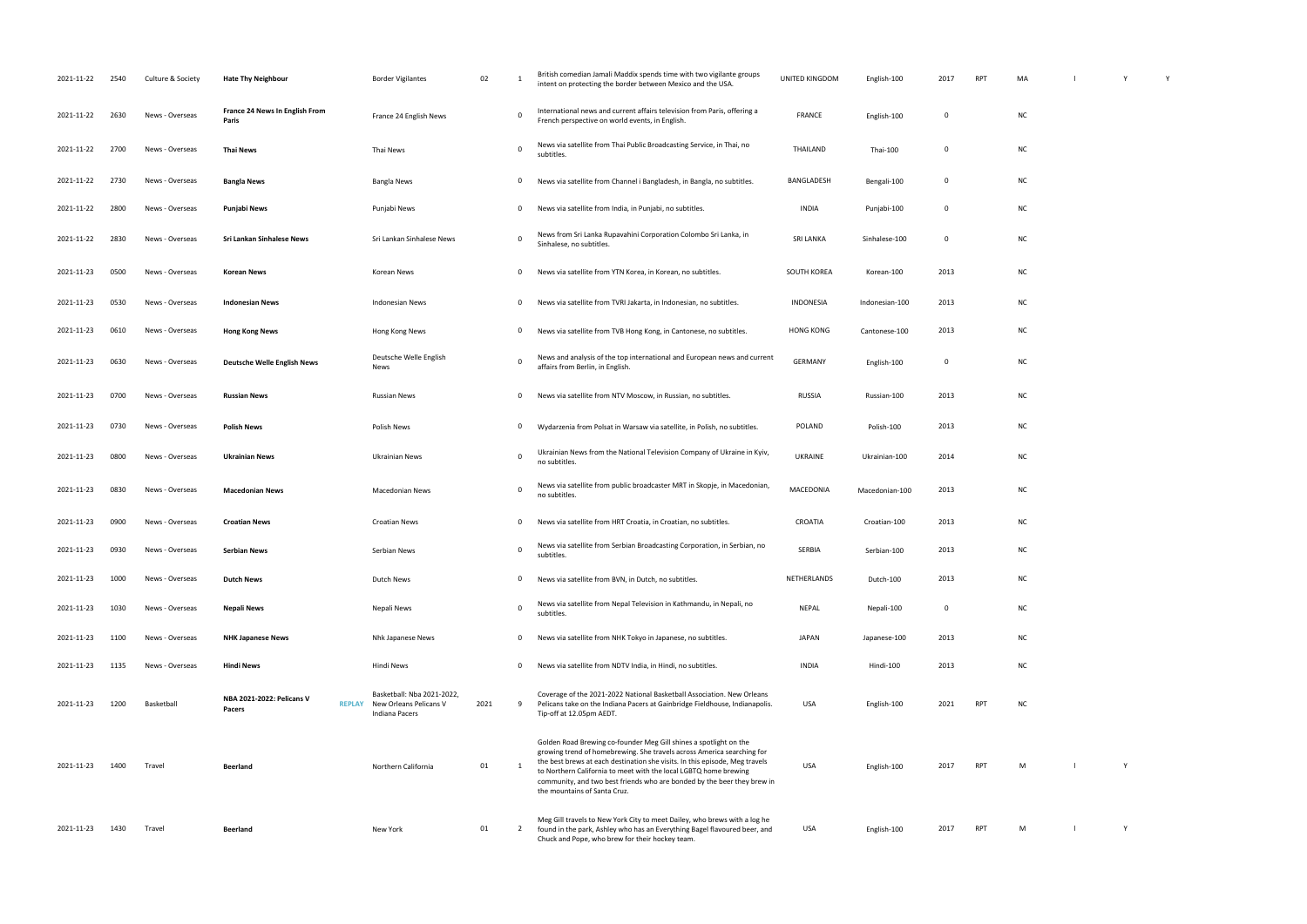| 2021-11-22 | 2540 | Culture & Society | <b>Hate Thy Neighbour</b>                      | <b>Border Vigilantes</b>                                                                    | 02   | -1           | British comedian Jamali Maddix spends time with two vigilante groups<br>intent on protecting the border between Mexico and the USA                                                                                                                                                                                                                                                                        | UNITED KINGDOM   | English-100    | 2017        | RPT        | MA        |  |
|------------|------|-------------------|------------------------------------------------|---------------------------------------------------------------------------------------------|------|--------------|-----------------------------------------------------------------------------------------------------------------------------------------------------------------------------------------------------------------------------------------------------------------------------------------------------------------------------------------------------------------------------------------------------------|------------------|----------------|-------------|------------|-----------|--|
| 2021-11-22 | 2630 | News - Overseas   | <b>France 24 News In English From</b><br>Paris | France 24 English News                                                                      |      | 0            | International news and current affairs television from Paris, offering a<br>French perspective on world events, in English.                                                                                                                                                                                                                                                                               | <b>FRANCE</b>    | English-100    | 0           |            | NC        |  |
| 2021-11-22 | 2700 | News - Overseas   | <b>Thai News</b>                               | Thai News                                                                                   |      | 0            | News via satellite from Thai Public Broadcasting Service, in Thai, no<br>subtitles.                                                                                                                                                                                                                                                                                                                       | THAILAND         | Thai-100       | 0           |            | NC        |  |
| 2021-11-22 | 2730 | News - Overseas   | <b>Bangla News</b>                             | Bangla News                                                                                 |      | 0            | News via satellite from Channel i Bangladesh, in Bangla, no subtitles.                                                                                                                                                                                                                                                                                                                                    | BANGLADESH       | Bengali-100    | 0           |            | NC        |  |
| 2021-11-22 | 2800 | News - Overseas   | Punjabi News                                   | Punjabi News                                                                                |      | 0            | News via satellite from India, in Punjabi, no subtitles.                                                                                                                                                                                                                                                                                                                                                  | INDIA            | Punjabi-100    | $\mathbf 0$ |            | NC        |  |
| 2021-11-22 | 2830 | News - Overseas   | Sri Lankan Sinhalese News                      | Sri Lankan Sinhalese News                                                                   |      | 0            | News from Sri Lanka Rupavahini Corporation Colombo Sri Lanka, in<br>Sinhalese, no subtitles.                                                                                                                                                                                                                                                                                                              | <b>SRI LANKA</b> | Sinhalese-100  | 0           |            | <b>NC</b> |  |
| 2021-11-23 | 0500 | News - Overseas   | <b>Korean News</b>                             | Korean News                                                                                 |      | 0            | News via satellite from YTN Korea, in Korean, no subtitles.                                                                                                                                                                                                                                                                                                                                               | SOUTH KOREA      | Korean-100     | 2013        |            | <b>NC</b> |  |
| 2021-11-23 | 0530 | News - Overseas   | <b>Indonesian News</b>                         | <b>Indonesian News</b>                                                                      |      | 0            | News via satellite from TVRI Jakarta, in Indonesian, no subtitles.                                                                                                                                                                                                                                                                                                                                        | INDONESIA        | Indonesian-100 | 2013        |            | <b>NC</b> |  |
| 2021-11-23 | 0610 | News - Overseas   | <b>Hong Kong News</b>                          | Hong Kong News                                                                              |      | 0            | News via satellite from TVB Hong Kong, in Cantonese, no subtitles.                                                                                                                                                                                                                                                                                                                                        | <b>HONG KONG</b> | Cantonese-100  | 2013        |            | <b>NC</b> |  |
| 2021-11-23 | 0630 | News - Overseas   | <b>Deutsche Welle English News</b>             | Deutsche Welle English<br>News                                                              |      | $\mathbf 0$  | News and analysis of the top international and European news and current<br>affairs from Berlin, in English.                                                                                                                                                                                                                                                                                              | <b>GERMANY</b>   | English-100    | 0           |            | <b>NC</b> |  |
| 2021-11-23 | 0700 | News - Overseas   | <b>Russian News</b>                            | Russian News                                                                                |      | 0            | News via satellite from NTV Moscow, in Russian, no subtitles.                                                                                                                                                                                                                                                                                                                                             | <b>RUSSIA</b>    | Russian-100    | 2013        |            | <b>NC</b> |  |
| 2021-11-23 | 0730 | News - Overseas   | <b>Polish News</b>                             | Polish News                                                                                 |      | 0            | Wydarzenia from Polsat in Warsaw via satellite, in Polish, no subtitles.                                                                                                                                                                                                                                                                                                                                  | POLAND           | Polish-100     | 2013        |            | <b>NC</b> |  |
| 2021-11-23 | 0800 | News - Overseas   | <b>Ukrainian News</b>                          | Ukrainian News                                                                              |      | $\mathbf 0$  | Ukrainian News from the National Television Company of Ukraine in Kyiv,<br>no subtitles.                                                                                                                                                                                                                                                                                                                  | UKRAINE          | Ukrainian-100  | 2014        |            | <b>NC</b> |  |
| 2021-11-23 | 0830 | News - Overseas   | <b>Macedonian News</b>                         | <b>Macedonian News</b>                                                                      |      | $\Omega$     | News via satellite from public broadcaster MRT in Skopje, in Macedonian,<br>no subtitles.                                                                                                                                                                                                                                                                                                                 | MACEDONIA        | Macedonian-100 | 2013        |            | <b>NC</b> |  |
| 2021-11-23 | 0900 | News - Overseas   | <b>Croatian News</b>                           | <b>Croatian News</b>                                                                        |      | 0            | News via satellite from HRT Croatia, in Croatian, no subtitles.                                                                                                                                                                                                                                                                                                                                           | CROATIA          | Croatian-100   | 2013        |            | <b>NC</b> |  |
| 2021-11-23 | 0930 | News - Overseas   | <b>Serbian News</b>                            | Serbian News                                                                                |      | 0            | News via satellite from Serbian Broadcasting Corporation, in Serbian, no<br>subtitles.                                                                                                                                                                                                                                                                                                                    | SERBIA           | Serbian-100    | 2013        |            | <b>NC</b> |  |
| 2021-11-23 | 1000 | News - Overseas   | <b>Dutch News</b>                              | Dutch News                                                                                  |      | 0            | News via satellite from BVN, in Dutch, no subtitles.                                                                                                                                                                                                                                                                                                                                                      | NETHERLANDS      | Dutch-100      | 2013        |            | <b>NC</b> |  |
| 2021-11-23 | 1030 | News - Overseas   | <b>Nepali News</b>                             | Nepali News                                                                                 |      | $\mathsf{O}$ | News via satellite from Nepal Television in Kathmandu, in Nepali, no<br>subtitles.                                                                                                                                                                                                                                                                                                                        | NEPAL            | Nepali-100     | $\mathbf 0$ |            | <b>NC</b> |  |
| 2021-11-23 | 1100 | News - Overseas   | <b>NHK Japanese News</b>                       | Nhk Japanese News                                                                           |      | 0            | News via satellite from NHK Tokyo in Japanese, no subtitles.                                                                                                                                                                                                                                                                                                                                              | JAPAN            | Japanese-100   | 2013        |            | <b>NC</b> |  |
| 2021-11-23 | 1135 | News - Overseas   | <b>Hindi News</b>                              | Hindi News                                                                                  |      | 0            | News via satellite from NDTV India, in Hindi, no subtitles.                                                                                                                                                                                                                                                                                                                                               | <b>INDIA</b>     | Hindi-100      | 2013        |            | ΝC        |  |
| 2021-11-23 | 1200 | Basketball        | <b>NBA 2021-2022: Pelicans V</b><br>Pacers     | Basketball: Nba 2021-2022,<br><b>REPLAY</b> New Orleans Pelicans V<br><b>Indiana Pacers</b> | 2021 | 9            | Coverage of the 2021-2022 National Basketball Association. New Orleans<br>Pelicans take on the Indiana Pacers at Gainbridge Fieldhouse, Indianapolis.<br>Tip-off at 12.05pm AEDT.                                                                                                                                                                                                                         | USA              | English-100    | 2021        | <b>RPT</b> | ΝC        |  |
| 2021-11-23 | 1400 | Travel            | <b>Beerland</b>                                | Northern California                                                                         | 01   | 1            | Golden Road Brewing co-founder Meg Gill shines a spotlight on the<br>growing trend of homebrewing. She travels across America searching for<br>the best brews at each destination she visits. In this episode, Meg travels<br>to Northern California to meet with the local LGBTQ home brewing<br>community, and two best friends who are bonded by the beer they brew in<br>the mountains of Santa Cruz. | USA              | English-100    | 2017        | <b>RPT</b> | M         |  |
| 2021-11-23 | 1430 | Travel            | <b>Beerland</b>                                | New York                                                                                    | 01   | $\mathbf{2}$ | Meg Gill travels to New York City to meet Dailey, who brews with a log he<br>found in the park, Ashley who has an Everything Bagel flavoured beer, and<br>Chuck and Pope, who brew for their hockey team.                                                                                                                                                                                                 | USA              | English-100    | 2017        | <b>RPT</b> | M         |  |

| MA                       | $\bar{\phantom{a}}$ | $\mathsf Y$ | Y |  |
|--------------------------|---------------------|-------------|---|--|
| NC                       |                     |             |   |  |
| NC                       |                     |             |   |  |
| NC                       |                     |             |   |  |
| NC                       |                     |             |   |  |
| NC                       |                     |             |   |  |
| NC                       |                     |             |   |  |
| NC                       |                     |             |   |  |
| NC                       |                     |             |   |  |
| NC                       |                     |             |   |  |
| NC                       |                     |             |   |  |
| NC                       |                     |             |   |  |
| NC                       |                     |             |   |  |
| NC                       |                     |             |   |  |
| NC                       |                     |             |   |  |
| NC                       |                     |             |   |  |
| NC                       |                     |             |   |  |
| NC                       |                     |             |   |  |
| NC                       |                     |             |   |  |
| NC                       |                     |             |   |  |
| NC                       |                     |             |   |  |
|                          |                     |             |   |  |
| $\sim 1$<br>$\mathsf{M}$ | $\mathsf{Y}$        |             |   |  |
|                          |                     |             |   |  |
| M                        |                     | Y           |   |  |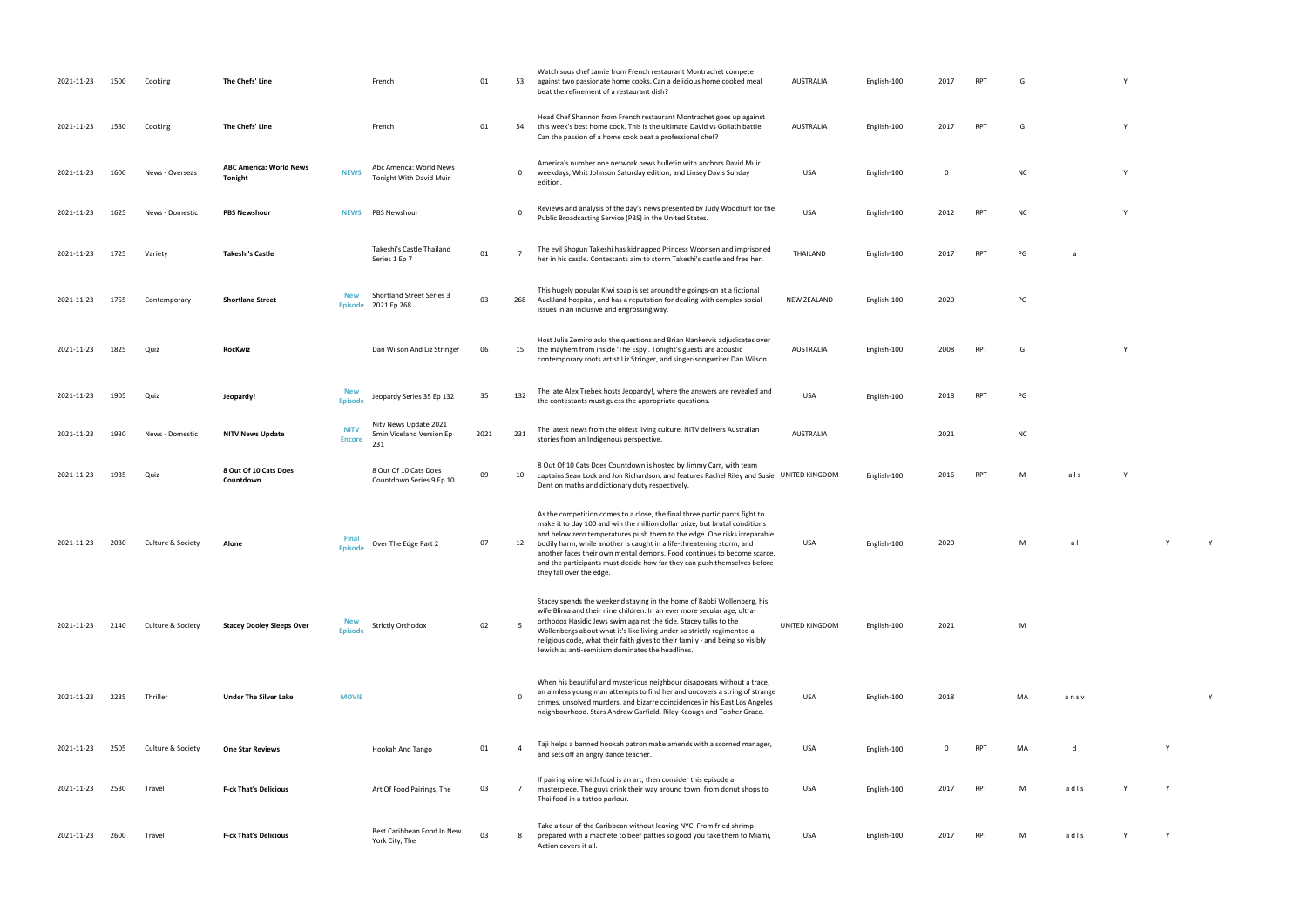| 2021-11-23 | 1500 | Cooking           | The Chefs' Line                           |                              | French                                                   | 01   | 53       | Watch sous chef Jamie from French restaurant Montrachet compete<br>against two passionate home cooks. Can a delicious home cooked meal<br>beat the refinement of a restaurant dish?                                                                                                                                                                                                                                                                                                              | AUSTRALIA          | English-100 | 2017 | RPT        | G         |      |  |
|------------|------|-------------------|-------------------------------------------|------------------------------|----------------------------------------------------------|------|----------|--------------------------------------------------------------------------------------------------------------------------------------------------------------------------------------------------------------------------------------------------------------------------------------------------------------------------------------------------------------------------------------------------------------------------------------------------------------------------------------------------|--------------------|-------------|------|------------|-----------|------|--|
| 2021-11-23 | 1530 | Cooking           | The Chefs' Line                           |                              | French                                                   | 01   | 54       | Head Chef Shannon from French restaurant Montrachet goes up against<br>this week's best home cook. This is the ultimate David vs Goliath battle.<br>Can the passion of a home cook beat a professional chef?                                                                                                                                                                                                                                                                                     | <b>AUSTRALIA</b>   | English-100 | 2017 | <b>RPT</b> | G         |      |  |
| 2021-11-23 | 1600 | News - Overseas   | <b>ABC America: World News</b><br>Tonight | <b>NEWS</b>                  | Abc America: World News<br>Tonight With David Muir       |      | 0        | America's number one network news bulletin with anchors David Muir<br>weekdays, Whit Johnson Saturday edition, and Linsey Davis Sunday<br>edition.                                                                                                                                                                                                                                                                                                                                               | USA                | English-100 | 0    |            | <b>NC</b> |      |  |
| 2021-11-23 | 1625 | News - Domestic   | <b>PBS Newshour</b>                       | <b>NEWS</b>                  | PBS Newshour                                             |      | $\Omega$ | Reviews and analysis of the day's news presented by Judy Woodruff for the<br>Public Broadcasting Service (PBS) in the United States.                                                                                                                                                                                                                                                                                                                                                             | <b>USA</b>         | English-100 | 2012 | <b>RPT</b> | <b>NC</b> |      |  |
| 2021-11-23 | 1725 | Variety           | <b>Takeshi's Castle</b>                   |                              | Takeshi's Castle Thailand<br>Series 1 Ep 7               | 01   |          | The evil Shogun Takeshi has kidnapped Princess Woonsen and imprisoned<br>her in his castle. Contestants aim to storm Takeshi's castle and free her.                                                                                                                                                                                                                                                                                                                                              | THAILAND           | English-100 | 2017 | <b>RPT</b> | PG        | a    |  |
| 2021-11-23 | 1755 | Contemporary      | <b>Shortland Street</b>                   | <b>New</b>                   | <b>Shortland Street Series 3</b><br>Episode 2021 Ep 268  | 03   | 268      | This hugely popular Kiwi soap is set around the goings-on at a fictional<br>Auckland hospital, and has a reputation for dealing with complex social<br>issues in an inclusive and engrossing way.                                                                                                                                                                                                                                                                                                | <b>NEW ZEALAND</b> | English-100 | 2020 |            | PG        |      |  |
| 2021-11-23 | 1825 | Quiz              | <b>RocKwiz</b>                            |                              | Dan Wilson And Liz Stringer                              | 06   | 15       | Host Julia Zemiro asks the questions and Brian Nankervis adjudicates over<br>the mayhem from inside 'The Espy'. Tonight's guests are acoustic<br>contemporary roots artist Liz Stringer, and singer-songwriter Dan Wilson.                                                                                                                                                                                                                                                                       | AUSTRALIA          | English-100 | 2008 | RPT        | G         |      |  |
| 2021-11-23 | 1905 | Quiz              | Jeopardy!                                 | <b>New</b><br><b>Episode</b> | Jeopardy Series 35 Ep 132                                | 35   | 132      | The late Alex Trebek hosts Jeopardy!, where the answers are revealed and<br>the contestants must guess the appropriate questions.                                                                                                                                                                                                                                                                                                                                                                | USA                | English-100 | 2018 | RPT        | PG        |      |  |
| 2021-11-23 | 1930 | News - Domestic   | <b>NITV News Update</b>                   | <b>NITV</b><br><b>Encore</b> | Nity News Update 2021<br>5min Viceland Version Ep<br>231 | 2021 | 231      | The latest news from the oldest living culture, NITV delivers Australian<br>stories from an Indigenous perspective.                                                                                                                                                                                                                                                                                                                                                                              | AUSTRALIA          |             | 2021 |            | <b>NC</b> |      |  |
| 2021-11-23 | 1935 | Quiz              | 8 Out Of 10 Cats Does<br>Countdown        |                              | 8 Out Of 10 Cats Does<br>Countdown Series 9 Ep 10        | 09   | 10       | 8 Out Of 10 Cats Does Countdown is hosted by Jimmy Carr, with team<br>captains Sean Lock and Jon Richardson, and features Rachel Riley and Susie UNITED KINGDOM<br>Dent on maths and dictionary duty respectively.                                                                                                                                                                                                                                                                               |                    | English-100 | 2016 | RPT        | M         | als  |  |
| 2021-11-23 | 2030 | Culture & Society | Alone                                     | Fina<br><b>Episode</b>       | Over The Edge Part 2                                     | 07   | 12       | As the competition comes to a close, the final three participants fight to<br>make it to day 100 and win the million dollar prize, but brutal conditions<br>and below zero temperatures push them to the edge. One risks irreparable<br>bodily harm, while another is caught in a life-threatening storm, and<br>another faces their own mental demons. Food continues to become scarce,<br>and the participants must decide how far they can push themselves before<br>they fall over the edge. | USA                | English-100 | 2020 |            | м         | al   |  |
| 2021-11-23 | 2140 | Culture & Society | <b>Stacey Dooley Sleeps Over</b>          | <b>New</b><br><b>Episode</b> | <b>Strictly Orthodox</b>                                 | 02   |          | Stacey spends the weekend staying in the home of Rabbi Wollenberg, his<br>wife Blima and their nine children. In an ever more secular age, ultra-<br>orthodox Hasidic Jews swim against the tide. Stacey talks to the<br>Wollenbergs about what it's like living under so strictly regimented a<br>religious code, what their faith gives to their family - and being so visibly<br>Jewish as anti-semitism dominates the headlines.                                                             | UNITED KINGDOM     | English-100 | 2021 |            | M         |      |  |
| 2021-11-23 | 2235 | Thriller          | <b>Under The Silver Lake</b>              | <b>MOVIE</b>                 |                                                          |      |          | When his beautiful and mysterious neighbour disappears without a trace,<br>an aimless young man attempts to find her and uncovers a string of strange<br>crimes, unsolved murders, and bizarre coincidences in his East Los Angeles<br>neighbourhood. Stars Andrew Garfield, Riley Keough and Topher Grace.                                                                                                                                                                                      | <b>USA</b>         | English-100 | 2018 |            | MA        | ansv |  |
| 2021-11-23 | 2505 | Culture & Society | <b>One Star Reviews</b>                   |                              | Hookah And Tango                                         | 01   |          | Taji helps a banned hookah patron make amends with a scorned manager,<br>and sets off an angry dance teacher.                                                                                                                                                                                                                                                                                                                                                                                    | <b>USA</b>         | English-100 | 0    | <b>RPT</b> | MA        | d    |  |
| 2021-11-23 | 2530 | Travel            | <b>F-ck That's Delicious</b>              |                              | Art Of Food Pairings, The                                | 03   |          | If pairing wine with food is an art, then consider this episode a<br>masterpiece. The guys drink their way around town, from donut shops to<br>Thai food in a tattoo parlour.                                                                                                                                                                                                                                                                                                                    | <b>USA</b>         | English-100 | 2017 | RPT        | M         | adls |  |
| 2021-11-23 | 2600 | Travel            | <b>F-ck That's Delicious</b>              |                              | Best Caribbean Food In New<br>York City, The             | 03   | 8        | Take a tour of the Caribbean without leaving NYC. From fried shrimp<br>prepared with a machete to beef patties so good you take them to Miami,<br>Action covers it all.                                                                                                                                                                                                                                                                                                                          | USA                | English-100 | 2017 | RPT        | M         | adis |  |

- RPT G Y
- RPT G Y
	-
	-
	-
	-
	-
- RPT G Y
	-
	-
- RPT M als Y
	-
	- USA English-100 2020 M a l Y Y
	-
	-
	-
	- USA English-100 2018 MA an s v Y Y
	-
- PT Mad ls Y Y
- PT Madls Y Y Y
- 
- 
- 
- 
- 
- 
- 
- 
- 
- 
- 
- 
- 
-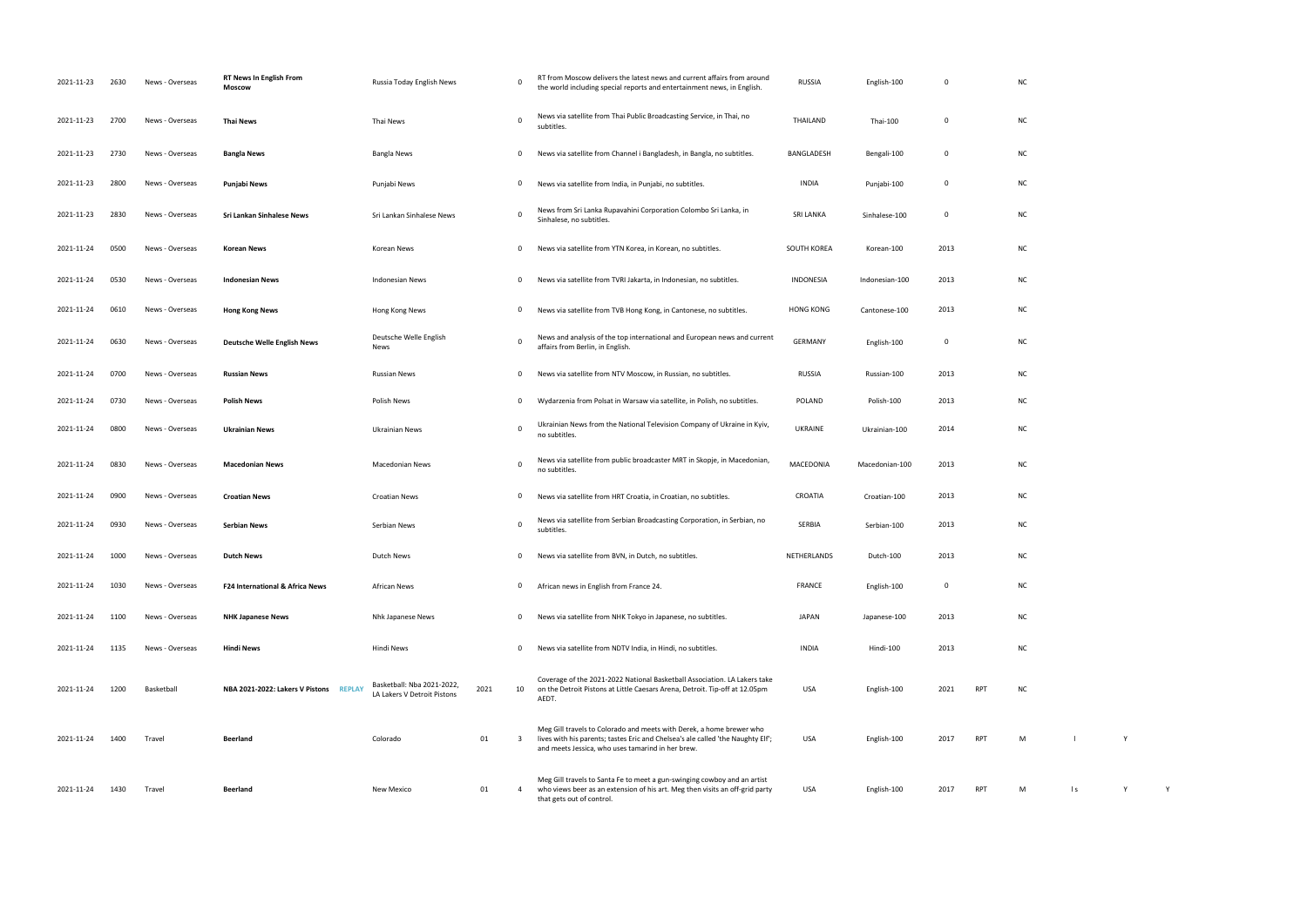| 2021-11-23 | 2630 | News - Overseas | <b>RT News In English From</b><br>Moscow | Russia Today English News                                 | 0                  | RT from Moscow delivers the latest news and current affairs from around<br>the world including special reports and entertainment news, in English.                                                           | <b>RUSSIA</b>    | English-100    | 0           |            | <b>NC</b> |           |   |  |
|------------|------|-----------------|------------------------------------------|-----------------------------------------------------------|--------------------|--------------------------------------------------------------------------------------------------------------------------------------------------------------------------------------------------------------|------------------|----------------|-------------|------------|-----------|-----------|---|--|
| 2021-11-23 | 2700 | News - Overseas | <b>Thai News</b>                         | Thai News                                                 | 0                  | News via satellite from Thai Public Broadcasting Service, in Thai, no<br>subtitles.                                                                                                                          | THAILAND         | Thai-100       | 0           |            | <b>NC</b> |           |   |  |
| 2021-11-23 | 2730 | News - Overseas | <b>Bangla News</b>                       | Bangla News                                               | 0                  | News via satellite from Channel i Bangladesh, in Bangla, no subtitles.                                                                                                                                       | BANGLADESH       | Bengali-100    | 0           |            | NC        |           |   |  |
| 2021-11-23 | 2800 | News - Overseas | Punjabi News                             | Punjabi News                                              | 0                  | News via satellite from India, in Punjabi, no subtitles.                                                                                                                                                     | INDIA            | Punjabi-100    | 0           |            | NC        |           |   |  |
| 2021-11-23 | 2830 | News - Overseas | <b>Sri Lankan Sinhalese News</b>         | Sri Lankan Sinhalese News                                 | 0                  | News from Sri Lanka Rupavahini Corporation Colombo Sri Lanka, in<br>Sinhalese, no subtitles.                                                                                                                 | <b>SRI LANKA</b> | Sinhalese-100  | 0           |            | <b>NC</b> |           |   |  |
| 2021-11-24 | 0500 | News - Overseas | Korean News                              | Korean News                                               | 0                  | News via satellite from YTN Korea, in Korean, no subtitles.                                                                                                                                                  | SOUTH KOREA      | Korean-100     | 2013        |            | NC        |           |   |  |
| 2021-11-24 | 0530 | News - Overseas | <b>Indonesian News</b>                   | <b>Indonesian News</b>                                    | $\mathbf 0$        | News via satellite from TVRI Jakarta, in Indonesian, no subtitles.                                                                                                                                           | INDONESIA        | Indonesian-100 | 2013        |            | NC        |           |   |  |
| 2021-11-24 | 0610 | News - Overseas | <b>Hong Kong News</b>                    | Hong Kong News                                            | $\mathbf 0$        | News via satellite from TVB Hong Kong, in Cantonese, no subtitles.                                                                                                                                           | <b>HONG KONG</b> | Cantonese-100  | 2013        |            | <b>NC</b> |           |   |  |
| 2021-11-24 | 0630 | News - Overseas | <b>Deutsche Welle English News</b>       | Deutsche Welle English<br>News                            | $\mathbf 0$        | News and analysis of the top international and European news and current<br>affairs from Berlin, in English.                                                                                                 | GERMANY          | English-100    | $\mathbf 0$ |            | NC        |           |   |  |
| 2021-11-24 | 0700 | News - Overseas | <b>Russian News</b>                      | <b>Russian News</b>                                       | 0                  | News via satellite from NTV Moscow, in Russian, no subtitles.                                                                                                                                                | RUSSIA           | Russian-100    | 2013        |            | NC        |           |   |  |
| 2021-11-24 | 0730 | News - Overseas | <b>Polish News</b>                       | Polish News                                               | $\mathbf 0$        | Wydarzenia from Polsat in Warsaw via satellite, in Polish, no subtitles.                                                                                                                                     | POLAND           | Polish-100     | 2013        |            | NC        |           |   |  |
| 2021-11-24 | 0800 | News - Overseas | <b>Ukrainian News</b>                    | Ukrainian News                                            | 0                  | Ukrainian News from the National Television Company of Ukraine in Kyiv,<br>no subtitles.                                                                                                                     | <b>UKRAINE</b>   | Ukrainian-100  | 2014        |            | NC        |           |   |  |
| 2021-11-24 | 0830 | News - Overseas | <b>Macedonian News</b>                   | Macedonian News                                           | $\mathbf 0$        | News via satellite from public broadcaster MRT in Skopje, in Macedonian,<br>no subtitles.                                                                                                                    | MACEDONIA        | Macedonian-100 | 2013        |            | NC        |           |   |  |
| 2021-11-24 | 0900 | News - Overseas | <b>Croatian News</b>                     | <b>Croatian News</b>                                      | 0                  | News via satellite from HRT Croatia, in Croatian, no subtitles.                                                                                                                                              | CROATIA          | Croatian-100   | 2013        |            | <b>NC</b> |           |   |  |
| 2021-11-24 | 0930 | News - Overseas | <b>Serbian News</b>                      | Serbian News                                              | $\mathbf 0$        | News via satellite from Serbian Broadcasting Corporation, in Serbian, no<br>subtitles.                                                                                                                       | SERBIA           | Serbian-100    | 2013        |            | NC        |           |   |  |
| 2021-11-24 | 1000 | News - Overseas | <b>Dutch News</b>                        | Dutch News                                                | $\mathbf 0$        | News via satellite from BVN, in Dutch, no subtitles                                                                                                                                                          | NETHERLANDS      | Dutch-100      | 2013        |            | ΝC        |           |   |  |
| 2021-11-24 | 1030 | News - Overseas | F24 International & Africa News          | <b>African News</b>                                       | $\mathbf{0}$       | African news in English from France 24.                                                                                                                                                                      | <b>FRANCE</b>    | English-100    | 0           |            | <b>NC</b> |           |   |  |
| 2021-11-24 | 1100 | News - Overseas | <b>NHK Japanese News</b>                 | Nhk Japanese News                                         | $\overline{0}$     | News via satellite from NHK Tokyo in Japanese, no subtitles.                                                                                                                                                 | <b>JAPAN</b>     | Japanese-100   | 2013        |            | NC        |           |   |  |
| 2021-11-24 | 1135 | News - Overseas | <b>Hindi News</b>                        | Hindi News                                                | $\mathbf{0}$       | News via satellite from NDTV India, in Hindi, no subtitles.                                                                                                                                                  | <b>INDIA</b>     | Hindi-100      | 2013        |            | NC        |           |   |  |
| 2021-11-24 | 1200 | Basketball      | NBA 2021-2022: Lakers V Pistons REPLAY   | Basketball: Nba 2021-2022,<br>LA Lakers V Detroit Pistons | 2021<br>10         | Coverage of the 2021-2022 National Basketball Association. LA Lakers take<br>on the Detroit Pistons at Little Caesars Arena, Detroit. Tip-off at 12.05pm<br>AEDT.                                            | USA              | English-100    | 2021        | RPT        | NC        |           |   |  |
| 2021-11-24 | 1400 | Travel          | <b>Beerland</b>                          | Colorado                                                  | 01<br>$\mathbf{3}$ | Meg Gill travels to Colorado and meets with Derek, a home brewer who<br>lives with his parents; tastes Eric and Chelsea's ale called 'the Naughty Elf';<br>and meets Jessica, who uses tamarind in her brew. | USA              | English-100    | 2017        | <b>RPT</b> | M         |           |   |  |
| 2021-11-24 | 1430 | Travel          | Beerland                                 | New Mexico                                                | 01<br>4            | Meg Gill travels to Santa Fe to meet a gun-swinging cowboy and an artist<br>who views beer as an extension of his art. Meg then visits an off-grid party<br>that gets out of control.                        | USA              | English-100    | 2017        | RPT        | M         | $\vert$ s | Y |  |

| NC           |                |              |   |  |
|--------------|----------------|--------------|---|--|
| NC           |                |              |   |  |
| NC           |                |              |   |  |
| NC           |                |              |   |  |
| NC           |                |              |   |  |
| NC           |                |              |   |  |
| NC           |                |              |   |  |
| NC           |                |              |   |  |
| NC           |                |              |   |  |
| NC           |                |              |   |  |
| NC           |                |              |   |  |
| NC           |                |              |   |  |
| NC           |                |              |   |  |
| NC           |                |              |   |  |
| NC           |                |              |   |  |
| NC           |                |              |   |  |
| NC           |                |              |   |  |
| NC           |                |              |   |  |
| NC           |                |              |   |  |
| NC           |                |              |   |  |
| $\mathsf{M}$ | $\mathbf I$    | $\mathsf{Y}$ |   |  |
| ${\sf M}$    | $\mathsf{I}$ s | Y            | Y |  |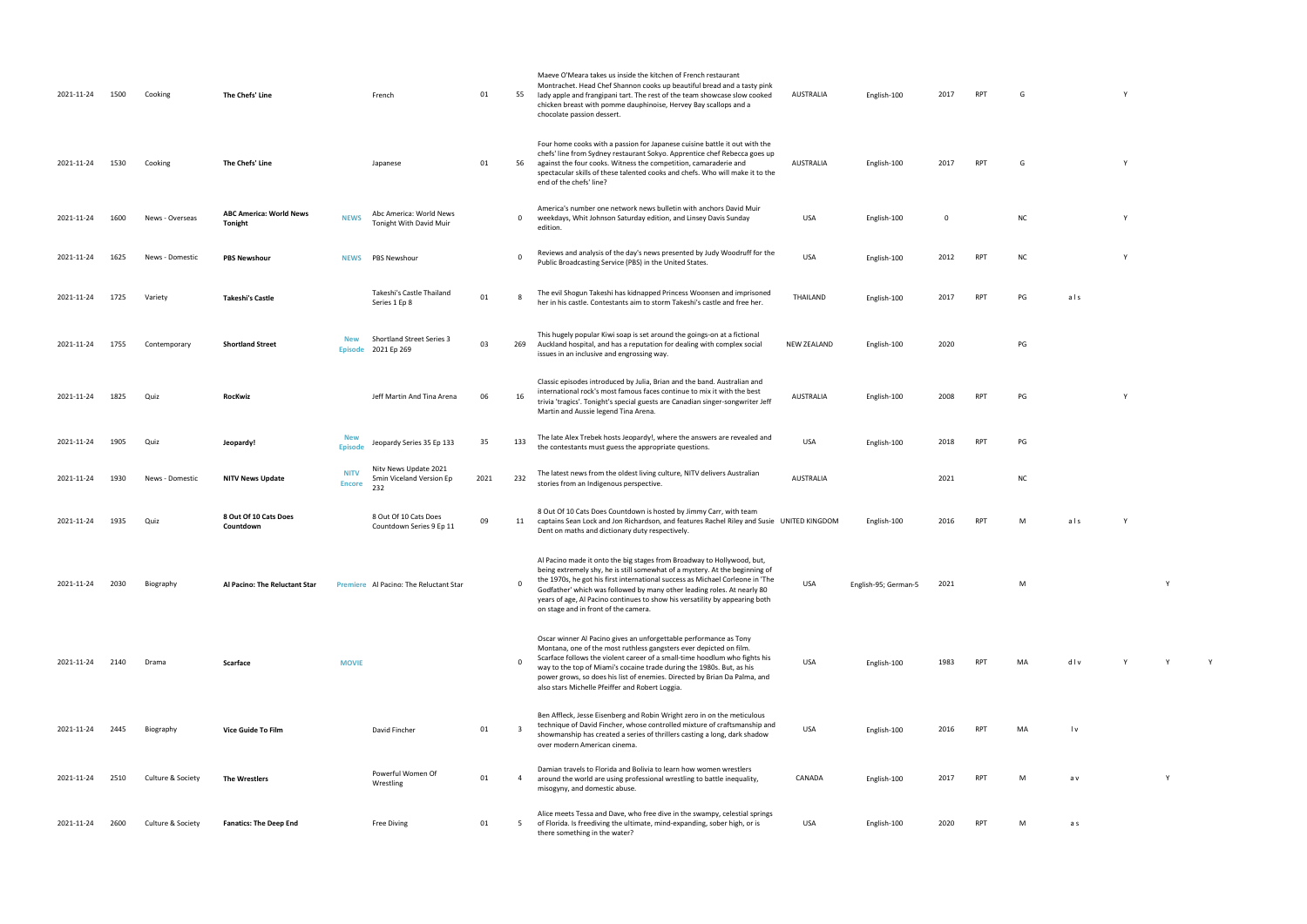| 2021-11-24 | 1500 | Cooking           | The Chefs' Line                                  |                              | French                                                   | 01   | 55             | Maeve O'Meara takes us inside the kitchen of French restaurant<br>Montrachet. Head Chef Shannon cooks up beautiful bread and a tasty pink<br>lady apple and frangipani tart. The rest of the team showcase slow cooked<br>chicken breast with pomme dauphinoise, Hervey Bay scallops and a<br>chocolate passion dessert.                                                                                                                 | AUSTRALIA          | English-100          | 2017        | RPT        | G         |     |          |
|------------|------|-------------------|--------------------------------------------------|------------------------------|----------------------------------------------------------|------|----------------|------------------------------------------------------------------------------------------------------------------------------------------------------------------------------------------------------------------------------------------------------------------------------------------------------------------------------------------------------------------------------------------------------------------------------------------|--------------------|----------------------|-------------|------------|-----------|-----|----------|
| 2021-11-24 | 1530 | Cooking           | The Chefs' Line                                  |                              | Japanese                                                 | 01   | 56             | Four home cooks with a passion for Japanese cuisine battle it out with the<br>chefs' line from Sydney restaurant Sokyo. Apprentice chef Rebecca goes up<br>against the four cooks. Witness the competition, camaraderie and<br>spectacular skills of these talented cooks and chefs. Who will make it to the<br>end of the chefs' line?                                                                                                  | AUSTRALIA          | English-100          | 2017        | <b>RPT</b> | G         |     | Y        |
| 2021-11-24 | 1600 | News - Overseas   | <b>ABC America: World News</b><br><b>Tonight</b> | <b>NEWS</b>                  | Abc America: World News<br>Tonight With David Muir       |      | 0              | America's number one network news bulletin with anchors David Muir<br>weekdays, Whit Johnson Saturday edition, and Linsey Davis Sunday<br>edition.                                                                                                                                                                                                                                                                                       | <b>USA</b>         | English-100          | $\mathbf 0$ |            | <b>NC</b> |     | Y        |
| 2021-11-24 | 1625 | News - Domestic   | <b>PBS Newshour</b>                              | <b>NEWS</b>                  | <b>PBS Newshour</b>                                      |      | $\Omega$       | Reviews and analysis of the day's news presented by Judy Woodruff for the<br>Public Broadcasting Service (PBS) in the United States.                                                                                                                                                                                                                                                                                                     | <b>USA</b>         | English-100          | 2012        | <b>RPT</b> | <b>NC</b> |     |          |
| 2021-11-24 | 1725 | Variety           | <b>Takeshi's Castle</b>                          |                              | Takeshi's Castle Thailand<br>Series 1 Ep 8               | 01   | $\mathbf{R}$   | The evil Shogun Takeshi has kidnapped Princess Woonsen and imprisoned<br>her in his castle. Contestants aim to storm Takeshi's castle and free her.                                                                                                                                                                                                                                                                                      | THAILAND           | English-100          | 2017        | <b>RPT</b> | PG        | als |          |
| 2021-11-24 | 1755 | Contemporary      | <b>Shortland Street</b>                          | <b>New</b><br><b>Episode</b> | <b>Shortland Street Series 3</b><br>2021 Ep 269          | 03   | 269            | This hugely popular Kiwi soap is set around the goings-on at a fictional<br>Auckland hospital, and has a reputation for dealing with complex social<br>issues in an inclusive and engrossing way.                                                                                                                                                                                                                                        | <b>NEW ZEALAND</b> | English-100          | 2020        |            | PG        |     |          |
| 2021-11-24 | 1825 | Quiz              | <b>RocKwiz</b>                                   |                              | Jeff Martin And Tina Arena                               | 06   | 16             | Classic episodes introduced by Julia, Brian and the band. Australian and<br>international rock's most famous faces continue to mix it with the best<br>trivia 'tragics'. Tonight's special guests are Canadian singer-songwriter Jeff<br>Martin and Aussie legend Tina Arena.                                                                                                                                                            | AUSTRALIA          | English-100          | 2008        | <b>RPT</b> | PG        |     | <b>Y</b> |
| 2021-11-24 | 1905 | Quiz              | Jeopardy!                                        | New<br><b>Episode</b>        | Jeopardy Series 35 Ep 133                                | 35   | 133            | The late Alex Trebek hosts Jeopardy!, where the answers are revealed and<br>the contestants must guess the appropriate questions.                                                                                                                                                                                                                                                                                                        | <b>USA</b>         | English-100          | 2018        | <b>RPT</b> | PG        |     |          |
| 2021-11-24 | 1930 | News - Domestic   | <b>NITV News Update</b>                          | <b>NITV</b><br><b>Encore</b> | Nity News Update 2021<br>5min Viceland Version Ep<br>232 | 2021 | 232            | The latest news from the oldest living culture, NITV delivers Australian<br>stories from an Indigenous perspective.                                                                                                                                                                                                                                                                                                                      | <b>AUSTRALIA</b>   |                      | 2021        |            | <b>NC</b> |     |          |
| 2021-11-24 | 1935 | Quiz              | 8 Out Of 10 Cats Does<br>Countdown               |                              | 8 Out Of 10 Cats Does<br>Countdown Series 9 Ep 11        | 09   | 11             | 8 Out Of 10 Cats Does Countdown is hosted by Jimmy Carr, with team<br>captains Sean Lock and Jon Richardson, and features Rachel Riley and Susie UNITED KINGDOM<br>Dent on maths and dictionary duty respectively.                                                                                                                                                                                                                       |                    | English-100          | 2016        | <b>RPT</b> | M         | als | <b>Y</b> |
| 2021-11-24 | 2030 | Biography         | Al Pacino: The Reluctant Star                    |                              | Premiere Al Pacino: The Reluctant Star                   |      | $\Omega$       | Al Pacino made it onto the big stages from Broadway to Hollywood, but,<br>being extremely shy, he is still somewhat of a mystery. At the beginning of<br>the 1970s, he got his first international success as Michael Corleone in 'The<br>Godfather' which was followed by many other leading roles. At nearly 80<br>years of age, Al Pacino continues to show his versatility by appearing both<br>on stage and in front of the camera. | USA                | English-95; German-5 | 2021        |            | M         |     |          |
| 2021-11-24 | 2140 | Drama             | Scarface                                         | <b>MOVIE</b>                 |                                                          |      | $\Omega$       | Oscar winner Al Pacino gives an unforgettable performance as Tony<br>Montana, one of the most ruthless gangsters ever depicted on film.<br>Scarface follows the violent career of a small-time hoodlum who fights his<br>way to the top of Miami's cocaine trade during the 1980s. But, as his<br>power grows, so does his list of enemies. Directed by Brian Da Palma, and<br>also stars Michelle Pfeiffer and Robert Loggia.           | USA                | English-100          | 1983        | <b>RPT</b> | MA        | dlv | Y        |
| 2021-11-24 | 2445 | Biography         | <b>Vice Guide To Film</b>                        |                              | David Fincher                                            | 01   | $\overline{3}$ | Ben Affleck, Jesse Eisenberg and Robin Wright zero in on the meticulous<br>technique of David Fincher, whose controlled mixture of craftsmanship and<br>showmanship has created a series of thrillers casting a long, dark shadow<br>over modern American cinema.                                                                                                                                                                        | USA                | English-100          | 2016        | RPT        | MA        | l v |          |
| 2021-11-24 | 2510 | Culture & Society | The Wrestlers                                    |                              | Powerful Women Of<br>Wrestling                           | 01   | 4              | Damian travels to Florida and Bolivia to learn how women wrestlers<br>around the world are using professional wrestling to battle inequality,<br>misogyny, and domestic abuse.                                                                                                                                                                                                                                                           | CANADA             | English-100          | 2017        | <b>RPT</b> | M         | a v |          |
| 2021-11-24 | 2600 | Culture & Society | <b>Fanatics: The Deep End</b>                    |                              | <b>Free Diving</b>                                       | 01   | 5              | Alice meets Tessa and Dave, who free dive in the swampy, celestial springs<br>of Florida. Is freediving the ultimate, mind-expanding, sober high, or is<br>there something in the water?                                                                                                                                                                                                                                                 | USA                | English-100          | 2020        | <b>RPT</b> | M         | a s |          |

- glish-100 2017 RPT  $G$  Y
	-
	-
	- NC Y
	- PUBLIC BROADCASTING STATES. USA ENGLISH-100 2012 RPT NC Y
	- her in his castle. Contestants and free her. The storm Takeshijo and free her. The storm Takeshijo castle and <br>The storm Takeshijo 2017 RPT PG and free her. The storm Takeshijo 2017 RPT PG and for storm Takeshijo 2017 RPT
		-
	- AUSTRALIA ENGLISH-100 2008 RPT PG Y
		-
		-
		- $nc$
	- 2016 RPT M als Y
		- USA English-95; German-5 2021 M Y
		-
	- 1983 RPT MA d l v Y Y Y Y
		- PT MA lv
			-
		- RPT M a v Y
	- 2020 RPT M as
- 
- 
- 
- 
- 
- 
- 
- 
- 
- 
- 
-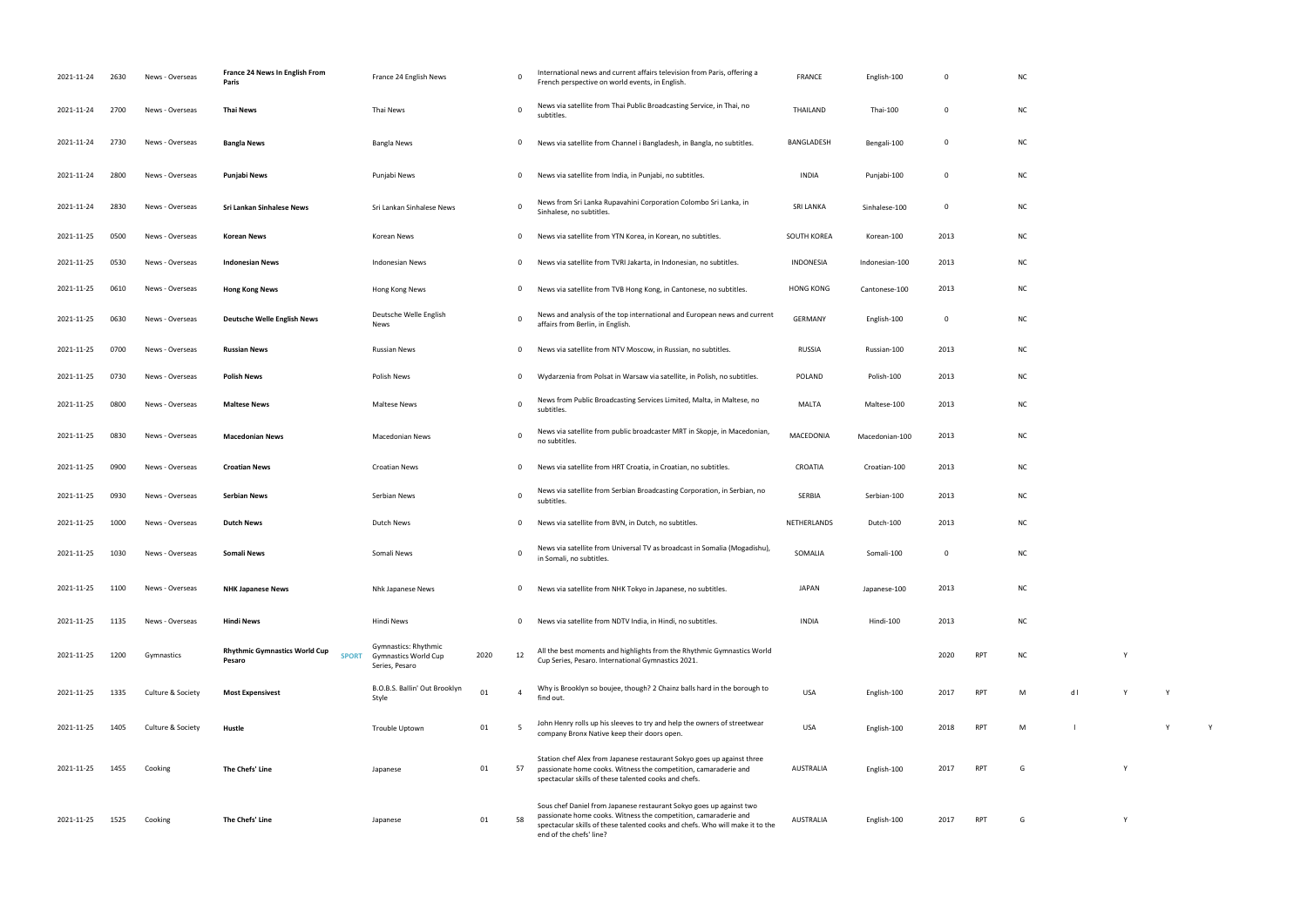| 2021-11-24 | 2630 | News - Overseas   | France 24 News In English From<br>Paris                        | France 24 English News                                                |      | 0              | International news and current affairs television from Paris, offering a<br>French perspective on world events, in English.                                                                                                                        | <b>FRANCE</b>    | English-100    | 0           |            | <b>NC</b> |     |  |
|------------|------|-------------------|----------------------------------------------------------------|-----------------------------------------------------------------------|------|----------------|----------------------------------------------------------------------------------------------------------------------------------------------------------------------------------------------------------------------------------------------------|------------------|----------------|-------------|------------|-----------|-----|--|
| 2021-11-24 | 2700 | News - Overseas   | <b>Thai News</b>                                               | Thai News                                                             |      | 0              | News via satellite from Thai Public Broadcasting Service, in Thai, no<br>subtitles.                                                                                                                                                                | THAILAND         | Thai-100       | 0           |            | NC        |     |  |
| 2021-11-24 | 2730 | News - Overseas   | <b>Bangla News</b>                                             | Bangla News                                                           |      | 0              | News via satellite from Channel i Bangladesh, in Bangla, no subtitles.                                                                                                                                                                             | BANGLADESH       | Bengali-100    | 0           |            | NC        |     |  |
| 2021-11-24 | 2800 | News - Overseas   | Punjabi News                                                   | Punjabi News                                                          |      | 0              | News via satellite from India, in Punjabi, no subtitles.                                                                                                                                                                                           | INDIA            | Punjabi-100    | 0           |            | <b>NC</b> |     |  |
| 2021-11-24 | 2830 | News - Overseas   | Sri Lankan Sinhalese News                                      | Sri Lankan Sinhalese News                                             |      | 0              | News from Sri Lanka Rupavahini Corporation Colombo Sri Lanka, in<br>Sinhalese, no subtitles.                                                                                                                                                       | <b>SRI LANKA</b> | Sinhalese-100  | 0           |            | NC        |     |  |
| 2021-11-25 | 0500 | News - Overseas   | <b>Korean News</b>                                             | Korean News                                                           |      | 0              | News via satellite from YTN Korea, in Korean, no subtitles.                                                                                                                                                                                        | SOUTH KOREA      | Korean-100     | 2013        |            | <b>NC</b> |     |  |
| 2021-11-25 | 0530 | News - Overseas   | <b>Indonesian News</b>                                         | Indonesian News                                                       |      | 0              | News via satellite from TVRI Jakarta, in Indonesian, no subtitles.                                                                                                                                                                                 | <b>INDONESIA</b> | Indonesian-100 | 2013        |            | <b>NC</b> |     |  |
| 2021-11-25 | 0610 | News - Overseas   | <b>Hong Kong News</b>                                          | Hong Kong News                                                        |      | $\mathbf{0}$   | News via satellite from TVB Hong Kong, in Cantonese, no subtitles.                                                                                                                                                                                 | <b>HONG KONG</b> | Cantonese-100  | 2013        |            | <b>NC</b> |     |  |
| 2021-11-25 | 0630 | News - Overseas   | <b>Deutsche Welle English News</b>                             | Deutsche Welle English<br>News                                        |      | 0              | News and analysis of the top international and European news and current<br>affairs from Berlin, in English.                                                                                                                                       | GERMANY          | English-100    | 0           |            | <b>NC</b> |     |  |
| 2021-11-25 | 0700 | News - Overseas   | <b>Russian News</b>                                            | Russian News                                                          |      | 0              | News via satellite from NTV Moscow, in Russian, no subtitles.                                                                                                                                                                                      | RUSSIA           | Russian-100    | 2013        |            | <b>NC</b> |     |  |
| 2021-11-25 | 0730 | News - Overseas   | <b>Polish News</b>                                             | Polish News                                                           |      | 0              | Wydarzenia from Polsat in Warsaw via satellite, in Polish, no subtitles.                                                                                                                                                                           | <b>POLAND</b>    | Polish-100     | 2013        |            | NC        |     |  |
| 2021-11-25 | 0800 | News - Overseas   | <b>Maltese News</b>                                            | <b>Maltese News</b>                                                   |      | 0              | News from Public Broadcasting Services Limited, Malta, in Maltese, no<br>subtitles.                                                                                                                                                                | MALTA            | Maltese-100    | 2013        |            | NC        |     |  |
| 2021-11-25 | 0830 | News - Overseas   | <b>Macedonian News</b>                                         | <b>Macedonian News</b>                                                |      | $\mathbf 0$    | News via satellite from public broadcaster MRT in Skopje, in Macedonian,<br>no subtitles.                                                                                                                                                          | MACEDONIA        | Macedonian-100 | 2013        |            | NC        |     |  |
| 2021-11-25 | 0900 | News - Overseas   | <b>Croatian News</b>                                           | <b>Croatian News</b>                                                  |      | 0              | News via satellite from HRT Croatia, in Croatian, no subtitles.                                                                                                                                                                                    | CROATIA          | Croatian-100   | 2013        |            | <b>NC</b> |     |  |
| 2021-11-25 | 0930 | News - Overseas   | <b>Serbian News</b>                                            | Serbian News                                                          |      | 0              | News via satellite from Serbian Broadcasting Corporation, in Serbian, no<br>subtitles.                                                                                                                                                             | SERBIA           | Serbian-100    | 2013        |            | NC        |     |  |
| 2021-11-25 | 1000 | News - Overseas   | <b>Dutch News</b>                                              | Dutch News                                                            |      | 0              | News via satellite from BVN, in Dutch, no subtitles.                                                                                                                                                                                               | NETHERLANDS      | Dutch-100      | 2013        |            | NC        |     |  |
| 2021-11-25 | 1030 | News - Overseas   | Somali News                                                    | Somali News                                                           |      | $\Omega$       | News via satellite from Universal TV as broadcast in Somalia (Mogadishu),<br>in Somali, no subtitles.                                                                                                                                              | SOMALIA          | Somali-100     | $\mathbf 0$ |            | <b>NC</b> |     |  |
| 2021-11-25 | 1100 | News - Overseas   | <b>NHK Japanese News</b>                                       | Nhk Japanese News                                                     |      | $\mathbf{0}$   | News via satellite from NHK Tokyo in Japanese, no subtitles.                                                                                                                                                                                       | <b>JAPAN</b>     | Japanese-100   | 2013        |            | <b>NC</b> |     |  |
| 2021-11-25 | 1135 | News - Overseas   | <b>Hindi News</b>                                              | Hindi News                                                            |      | 0              | News via satellite from NDTV India, in Hindi, no subtitles.                                                                                                                                                                                        | <b>INDIA</b>     | Hindi-100      | 2013        |            | <b>NC</b> |     |  |
| 2021-11-25 | 1200 | Gymnastics        | <b>Rhythmic Gymnastics World Cup</b><br><b>SPORT</b><br>Pesaro | Gymnastics: Rhythmic<br><b>Gymnastics World Cup</b><br>Series, Pesaro | 2020 | 12             | All the best moments and highlights from the Rhythmic Gymnastics World<br>Cup Series, Pesaro. International Gymnastics 2021.                                                                                                                       |                  |                | 2020        | <b>RPT</b> | <b>NC</b> |     |  |
| 2021-11-25 | 1335 | Culture & Society | <b>Most Expensivest</b>                                        | B.O.B.S. Ballin' Out Brooklyn<br>Style                                | 01   | $\overline{4}$ | Why is Brooklyn so boujee, though? 2 Chainz balls hard in the borough to<br>find out.                                                                                                                                                              | <b>USA</b>       | English-100    | 2017        | <b>RPT</b> | M         | $d$ |  |
| 2021-11-25 | 1405 | Culture & Society | Hustle                                                         | Trouble Uptown                                                        | 01   | -5             | John Henry rolls up his sleeves to try and help the owners of streetwear<br>company Bronx Native keep their doors open.                                                                                                                            | <b>USA</b>       | English-100    | 2018        | <b>RPT</b> | M         |     |  |
| 2021-11-25 | 1455 | Cooking           | The Chefs' Line                                                | Japanese                                                              | 01   | 57             | Station chef Alex from Japanese restaurant Sokyo goes up against three<br>passionate home cooks. Witness the competition, camaraderie and<br>spectacular skills of these talented cooks and chefs.                                                 | AUSTRALIA        | English-100    | 2017        | RPT        | G         |     |  |
| 2021-11-25 | 1525 | Cooking           | The Chefs' Line                                                | Japanese                                                              | 01   | 58             | Sous chef Daniel from Japanese restaurant Sokyo goes up against two<br>passionate home cooks. Witness the competition, camaraderie and<br>spectacular skills of these talented cooks and chefs. Who will make it to the<br>end of the chefs' line? | AUSTRALIA        | English-100    | 2017        | <b>RPT</b> | G         |     |  |

|                |     | ${\sf NC}$    |                                        |             |             |              |  |
|----------------|-----|---------------|----------------------------------------|-------------|-------------|--------------|--|
|                |     | ${\sf NC}$    |                                        |             |             |              |  |
|                |     | ${\sf NC}$    |                                        |             |             |              |  |
|                |     | ${\sf NC}$    |                                        |             |             |              |  |
|                |     | ${\sf NC}$    |                                        |             |             |              |  |
| 3              |     | ${\sf NC}$    |                                        |             |             |              |  |
| 3              |     | ${\sf NC}$    |                                        |             |             |              |  |
| 3              |     | ${\sf NC}$    |                                        |             |             |              |  |
|                |     | ${\sf NC}$    |                                        |             |             |              |  |
| 3              |     | ${\sf NC}$    |                                        |             |             |              |  |
| 3              |     | ${\sf NC}$    |                                        |             |             |              |  |
| 3              |     | ${\sf NC}$    |                                        |             |             |              |  |
| 3              |     | ${\sf NC}$    |                                        |             |             |              |  |
| 3              |     | ${\sf NC}$    |                                        |             |             |              |  |
| 3              |     | ${\sf NC}$    |                                        |             |             |              |  |
| 3              |     | ${\sf NC}$    |                                        |             |             |              |  |
|                |     | ${\sf NC}$    |                                        |             |             |              |  |
| 3              |     | ${\sf NC}$    |                                        |             |             |              |  |
| 3              |     | ${\sf NC}$    |                                        |             |             |              |  |
| 0              | RPT | ${\sf NC}$    |                                        | $\mathsf Y$ |             |              |  |
| $\overline{7}$ | RPT | ${\sf M}$     | $\operatorname{\mathsf{d}} \mathsf{I}$ | $\mathsf Y$ | Y           |              |  |
| 8              | RPT | ${\sf M}$     | $\perp$                                |             | $\mathsf Y$ | $\mathsf{Y}$ |  |
| $\overline{7}$ | RPT | ${\mathsf G}$ |                                        | Y           |             |              |  |
|                |     |               |                                        |             |             |              |  |
| 7              | RPT | ${\mathsf G}$ |                                        | Y           |             |              |  |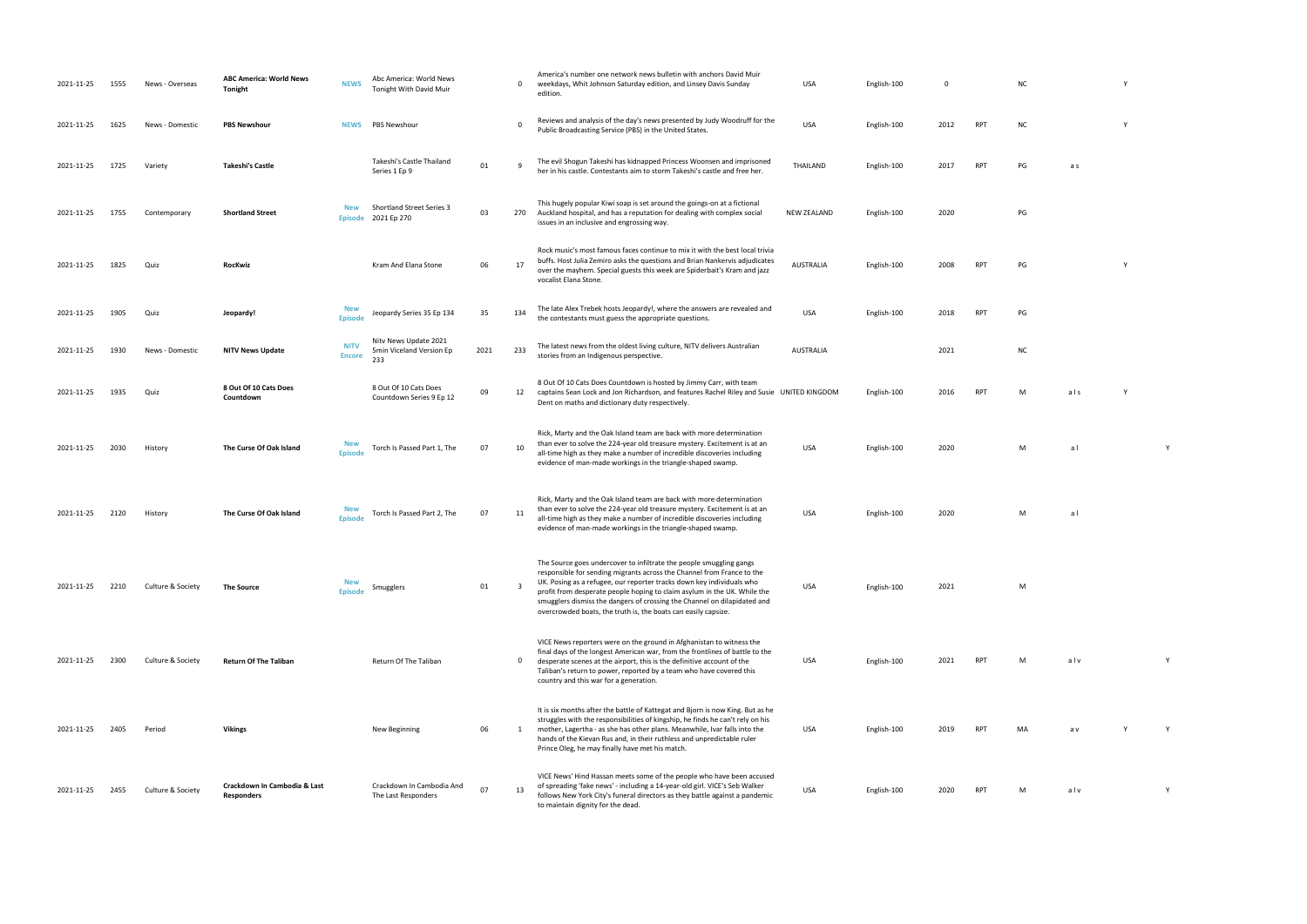| 2021-11-25 | 1555 | News - Overseas   | <b>ABC America: World News</b><br>Tonight         | <b>NEWS</b>                  | Abc America: World News<br>Tonight With David Muir       |      | $\mathbf 0$    | America's number one network news bulletin with anchors David Muir<br>weekdays, Whit Johnson Saturday edition, and Linsey Davis Sunday<br>edition.                                                                                                                                                                                                                                                                                               | <b>USA</b>         | English-100 | $\mathbf 0$ |            | <b>NC</b> |     |  |
|------------|------|-------------------|---------------------------------------------------|------------------------------|----------------------------------------------------------|------|----------------|--------------------------------------------------------------------------------------------------------------------------------------------------------------------------------------------------------------------------------------------------------------------------------------------------------------------------------------------------------------------------------------------------------------------------------------------------|--------------------|-------------|-------------|------------|-----------|-----|--|
| 2021-11-25 | 1625 | News - Domestic   | <b>PBS Newshour</b>                               | <b>NEWS</b>                  | <b>PBS Newshour</b>                                      |      | $\Omega$       | Reviews and analysis of the day's news presented by Judy Woodruff for the<br>Public Broadcasting Service (PBS) in the United States.                                                                                                                                                                                                                                                                                                             | <b>USA</b>         | English-100 | 2012        | <b>RPT</b> | <b>NC</b> |     |  |
| 2021-11-25 | 1725 | Variety           | <b>Takeshi's Castle</b>                           |                              | Takeshi's Castle Thailand<br>Series 1 Ep 9               | 01   | -9             | The evil Shogun Takeshi has kidnapped Princess Woonsen and imprisoned<br>her in his castle. Contestants aim to storm Takeshi's castle and free her.                                                                                                                                                                                                                                                                                              | THAILAND           | English-100 | 2017        | <b>RPT</b> | PG        | a s |  |
| 2021-11-25 | 1755 | Contemporary      | <b>Shortland Street</b>                           | <b>New</b><br><b>Episode</b> | <b>Shortland Street Series 3</b><br>2021 Ep 270          | 03   | 270            | This hugely popular Kiwi soap is set around the goings-on at a fictional<br>Auckland hospital, and has a reputation for dealing with complex social<br>issues in an inclusive and engrossing way.                                                                                                                                                                                                                                                | <b>NEW ZEALAND</b> | English-100 | 2020        |            | PG        |     |  |
| 2021-11-25 | 1825 | Quiz              | RocKwiz                                           |                              | Kram And Elana Stone                                     | 06   | 17             | Rock music's most famous faces continue to mix it with the best local trivia<br>buffs. Host Julia Zemiro asks the questions and Brian Nankervis adjudicates<br>over the mayhem. Special guests this week are Spiderbait's Kram and jazz<br>vocalist Elana Stone.                                                                                                                                                                                 | <b>AUSTRALIA</b>   | English-100 | 2008        | <b>RPT</b> | PG        |     |  |
| 2021-11-25 | 1905 | Quiz              | Jeopardy!                                         | <b>New</b><br><b>Episode</b> | Jeopardy Series 35 Ep 134                                | 35   | 134            | The late Alex Trebek hosts Jeopardy!, where the answers are revealed and<br>the contestants must guess the appropriate questions.                                                                                                                                                                                                                                                                                                                | <b>USA</b>         | English-100 | 2018        | <b>RPT</b> | PG        |     |  |
| 2021-11-25 | 1930 | News - Domestic   | <b>NITV News Update</b>                           | <b>NITV</b><br><b>Encore</b> | Nity News Update 2021<br>5min Viceland Version Ep<br>233 | 2021 | 233            | The latest news from the oldest living culture, NITV delivers Australian<br>stories from an Indigenous perspective.                                                                                                                                                                                                                                                                                                                              | AUSTRALIA          |             | 2021        |            | <b>NC</b> |     |  |
| 2021-11-25 | 1935 | Quiz              | 8 Out Of 10 Cats Does<br>Countdown                |                              | 8 Out Of 10 Cats Does<br>Countdown Series 9 Ep 12        | 09   | 12             | 8 Out Of 10 Cats Does Countdown is hosted by Jimmy Carr, with team<br>captains Sean Lock and Jon Richardson, and features Rachel Riley and Susie UNITED KINGDOM<br>Dent on maths and dictionary duty respectively.                                                                                                                                                                                                                               |                    | English-100 | 2016        | <b>RPT</b> | M         | als |  |
| 2021-11-25 | 2030 | History           | The Curse Of Oak Island                           | <b>New</b><br><b>Episode</b> | Torch Is Passed Part 1, The                              | 07   | 10             | Rick, Marty and the Oak Island team are back with more determination<br>than ever to solve the 224-year old treasure mystery. Excitement is at an<br>all-time high as they make a number of incredible discoveries including<br>evidence of man-made workings in the triangle-shaped swamp.                                                                                                                                                      | <b>USA</b>         | English-100 | 2020        |            | M         | al  |  |
| 2021-11-25 | 2120 | History           | The Curse Of Oak Island                           | <b>New</b><br><b>Episode</b> | Torch Is Passed Part 2, The                              | 07   | 11             | Rick, Marty and the Oak Island team are back with more determination<br>than ever to solve the 224-year old treasure mystery. Excitement is at an<br>all-time high as they make a number of incredible discoveries including<br>evidence of man-made workings in the triangle-shaped swamp.                                                                                                                                                      | <b>USA</b>         | English-100 | 2020        |            | M         | al  |  |
| 2021-11-25 | 2210 | Culture & Society | The Source                                        | <b>New</b><br><b>Episode</b> | Smugglers                                                | 01   | $\overline{3}$ | The Source goes undercover to infiltrate the people smuggling gangs<br>responsible for sending migrants across the Channel from France to the<br>UK. Posing as a refugee, our reporter tracks down key individuals who<br>profit from desperate people hoping to claim asylum in the UK. While the<br>smugglers dismiss the dangers of crossing the Channel on dilapidated and<br>overcrowded boats, the truth is, the boats can easily capsize. | USA                | English-100 | 2021        |            | M         |     |  |
| 2021-11-25 | 2300 | Culture & Society | <b>Return Of The Taliban</b>                      |                              | Return Of The Taliban                                    |      | $\mathbf 0$    | VICE News reporters were on the ground in Afghanistan to witness the<br>final days of the longest American war, from the frontlines of battle to the<br>desperate scenes at the airport, this is the definitive account of the<br>Taliban's return to power, reported by a team who have covered this<br>country and this war for a generation.                                                                                                  | USA                | English-100 | 2021        | <b>RPT</b> | M         | alv |  |
| 2021-11-25 | 2405 | Period            | <b>Vikings</b>                                    |                              | New Beginning                                            | 06   | 1              | It is six months after the battle of Kattegat and Bjorn is now King. But as he<br>struggles with the responsibilities of kingship, he finds he can't rely on his<br>mother, Lagertha - as she has other plans. Meanwhile, Ivar falls into the<br>hands of the Kievan Rus and, in their ruthless and unpredictable ruler<br>Prince Oleg, he may finally have met his match.                                                                       | USA                | English-100 | 2019        | <b>RPT</b> | MA        | a v |  |
| 2021-11-25 | 2455 | Culture & Society | Crackdown In Cambodia & Last<br><b>Responders</b> |                              | Crackdown In Cambodia And<br>The Last Responders         | 07   | 13             | VICE News' Hind Hassan meets some of the people who have been accused<br>of spreading 'fake news' - including a 14-year-old girl. VICE's Seb Walker<br>follows New York City's funeral directors as they battle against a pandemic<br>to maintain dignity for the dead.                                                                                                                                                                          | <b>USA</b>         | English-100 | 2020        | <b>RPT</b> | M         | alv |  |

| <b>NC</b> |  | Y |
|-----------|--|---|
|           |  |   |

- PUBLIC BROADCASTING STATES. USA ENGLISH-100 2012 RPT NC Y
- her in his castle. Contestants and free her. The storm Takeshijo and free her. The storm Takeshijo and free her<br>Thailand English-100 2017 RPT PG a storm Takeshijo and free her. The storm Takeshijo and free her. The storm T
	-
	-
- RPT PG Y
	-
- $NC$
- RPT M als Y
	- USA English-100 2020 M a l Y
	-
	- USA English-100 2020 M a l
	-
	-
	-
- USA English-100 2021 RPT M a l v Y
- RPT MA av Y Y
	-
- RPT M alv  $V$
- 
- 
- 
- 
- 
- 
- 
- 
- 
- 
- 
- 
- 
- 
-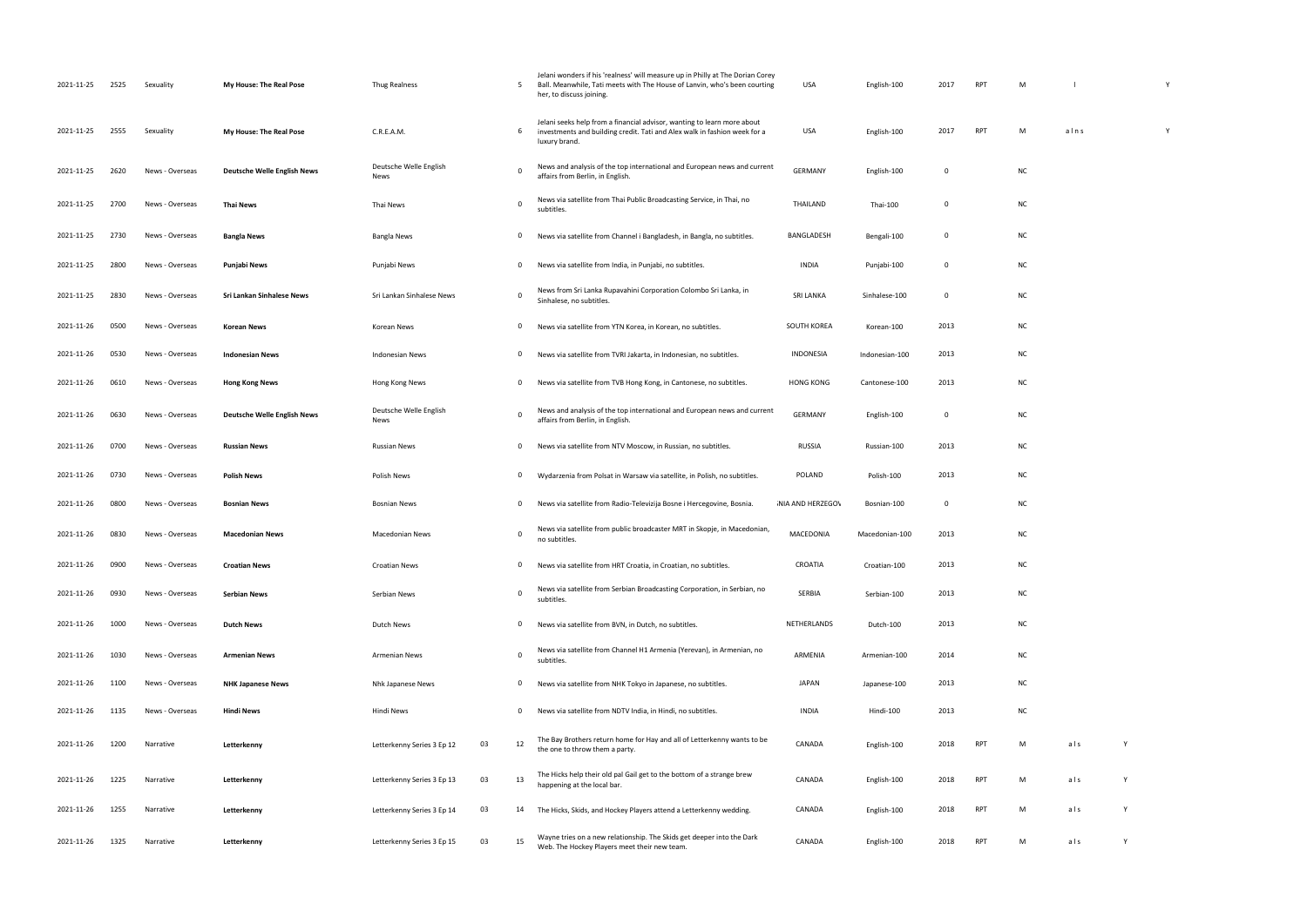| 2021-11-25 | 2525 | Sexuality       | <b>My House: The Real Pose</b>     | Thug Realness                  |    | 5           | Jelani wonders if his 'realness' will measure up in Philly at The Dorian Corey<br>Ball. Meanwhile, Tati meets with The House of Lanvin, who's been courting<br>her, to discuss joining. | USA                     | English-100    | 2017        | RPT        | M         |      |   |
|------------|------|-----------------|------------------------------------|--------------------------------|----|-------------|-----------------------------------------------------------------------------------------------------------------------------------------------------------------------------------------|-------------------------|----------------|-------------|------------|-----------|------|---|
| 2021-11-25 | 2555 | Sexuality       | My House: The Real Pose            | C.R.E.A.M.                     |    | 6           | Jelani seeks help from a financial advisor, wanting to learn more about<br>investments and building credit. Tati and Alex walk in fashion week for a<br>luxury brand.                   | USA                     | English-100    | 2017        | RPT        | M         | alns |   |
| 2021-11-25 | 2620 | News - Overseas | <b>Deutsche Welle English News</b> | Deutsche Welle English<br>News |    |             | News and analysis of the top international and European news and current<br>affairs from Berlin, in English.                                                                            | <b>GERMANY</b>          | English-100    | 0           |            | <b>NC</b> |      |   |
| 2021-11-25 | 2700 | News - Overseas | <b>Thai News</b>                   | Thai News                      |    | $\Omega$    | News via satellite from Thai Public Broadcasting Service, in Thai, no<br>subtitles.                                                                                                     | THAILAND                | Thai-100       | 0           |            | <b>NC</b> |      |   |
| 2021-11-25 | 2730 | News - Overseas | <b>Bangla News</b>                 | <b>Bangla News</b>             |    | 0           | News via satellite from Channel i Bangladesh, in Bangla, no subtitles.                                                                                                                  | BANGLADESH              | Bengali-100    | $\mathbf 0$ |            | <b>NC</b> |      |   |
| 2021-11-25 | 2800 | News - Overseas | Punjabi News                       | Punjabi News                   |    | 0           | News via satellite from India, in Punjabi, no subtitles.                                                                                                                                | INDIA                   | Punjabi-100    | 0           |            | <b>NC</b> |      |   |
| 2021-11-25 | 2830 | News - Overseas | Sri Lankan Sinhalese News          | Sri Lankan Sinhalese News      |    | $\mathbf 0$ | News from Sri Lanka Rupavahini Corporation Colombo Sri Lanka, in<br>Sinhalese, no subtitles.                                                                                            | <b>SRI LANKA</b>        | Sinhalese-100  | 0           |            | <b>NC</b> |      |   |
| 2021-11-26 | 0500 | News - Overseas | <b>Korean News</b>                 | Korean News                    |    | 0           | News via satellite from YTN Korea, in Korean, no subtitles.                                                                                                                             | SOUTH KOREA             | Korean-100     | 2013        |            | <b>NC</b> |      |   |
| 2021-11-26 | 0530 | News - Overseas | <b>Indonesian News</b>             | <b>Indonesian News</b>         |    | 0           | News via satellite from TVRI Jakarta, in Indonesian, no subtitles.                                                                                                                      | INDONESIA               | Indonesian-100 | 2013        |            | <b>NC</b> |      |   |
| 2021-11-26 | 0610 | News - Overseas | <b>Hong Kong News</b>              | Hong Kong News                 |    | 0           | News via satellite from TVB Hong Kong, in Cantonese, no subtitles.                                                                                                                      | <b>HONG KONG</b>        | Cantonese-100  | 2013        |            | <b>NC</b> |      |   |
| 2021-11-26 | 0630 | News - Overseas | <b>Deutsche Welle English News</b> | Deutsche Welle English<br>News |    | 0           | News and analysis of the top international and European news and current<br>affairs from Berlin, in English.                                                                            | <b>GERMANY</b>          | English-100    | 0           |            | <b>NC</b> |      |   |
| 2021-11-26 | 0700 | News - Overseas | <b>Russian News</b>                | <b>Russian News</b>            |    | 0           | News via satellite from NTV Moscow, in Russian, no subtitles.                                                                                                                           | RUSSIA                  | Russian-100    | 2013        |            | <b>NC</b> |      |   |
| 2021-11-26 | 0730 | News - Overseas | <b>Polish News</b>                 | Polish News                    |    | 0           | Wydarzenia from Polsat in Warsaw via satellite, in Polish, no subtitles.                                                                                                                | POLAND                  | Polish-100     | 2013        |            | <b>NC</b> |      |   |
| 2021-11-26 | 0800 | News - Overseas | <b>Bosnian News</b>                | <b>Bosnian News</b>            |    | 0           | News via satellite from Radio-Televizija Bosne i Hercegovine, Bosnia.                                                                                                                   | <b>NIA AND HERZEGOV</b> | Bosnian-100    | 0           |            | <b>NC</b> |      |   |
| 2021-11-26 | 0830 | News - Overseas | <b>Macedonian News</b>             | <b>Macedonian News</b>         |    | 0           | News via satellite from public broadcaster MRT in Skopje, in Macedonian,<br>no subtitles.                                                                                               | MACEDONIA               | Macedonian-100 | 2013        |            | <b>NC</b> |      |   |
| 2021-11-26 | 0900 | News - Overseas | <b>Croatian News</b>               | Croatian News                  |    | 0           | News via satellite from HRT Croatia, in Croatian, no subtitles.                                                                                                                         | CROATIA                 | Croatian-100   | 2013        |            | <b>NC</b> |      |   |
| 2021-11-26 | 0930 | News - Overseas | Serbian News                       | Serbian News                   |    | $\mathbf 0$ | News via satellite from Serbian Broadcasting Corporation, in Serbian, no<br>subtitles.                                                                                                  | SERBIA                  | Serbian-100    | 2013        |            | <b>NC</b> |      |   |
| 2021-11-26 | 1000 | News - Overseas | <b>Dutch News</b>                  | Dutch News                     |    | 0           | News via satellite from BVN, in Dutch, no subtitles.                                                                                                                                    | NETHERLANDS             | Dutch-100      | 2013        |            | <b>NC</b> |      |   |
| 2021-11-26 | 1030 | News - Overseas | <b>Armenian News</b>               | <b>Armenian News</b>           |    | $\mathbf 0$ | News via satellite from Channel H1 Armenia (Yerevan), in Armenian, no<br>subtitles.                                                                                                     | ARMENIA                 | Armenian-100   | 2014        |            | <b>NC</b> |      |   |
| 2021-11-26 | 1100 | News - Overseas | <b>NHK Japanese News</b>           | Nhk Japanese News              |    | 0           | News via satellite from NHK Tokyo in Japanese, no subtitles.                                                                                                                            | JAPAN                   | Japanese-100   | 2013        |            | <b>NC</b> |      |   |
| 2021-11-26 | 1135 | News - Overseas | <b>Hindi News</b>                  | Hindi News                     |    | 0           | News via satellite from NDTV India, in Hindi, no subtitles.                                                                                                                             | <b>INDIA</b>            | Hindi-100      | 2013        |            | <b>NC</b> |      |   |
| 2021-11-26 | 1200 | Narrative       | Letterkenny                        | Letterkenny Series 3 Ep 12     | 03 | 12          | The Bay Brothers return home for Hay and all of Letterkenny wants to be<br>the one to throw them a party.                                                                               | CANADA                  | English-100    | 2018        | <b>RPT</b> | M         | als  | Y |
| 2021-11-26 | 1225 | Narrative       | Letterkenny                        | Letterkenny Series 3 Ep 13     | 03 | 13          | The Hicks help their old pal Gail get to the bottom of a strange brew<br>happening at the local bar.                                                                                    | CANADA                  | English-100    | 2018        | RPT        | M         | als  | Y |
| 2021-11-26 | 1255 | Narrative       | Letterkenny                        | Letterkenny Series 3 Ep 14     | 03 | 14          | The Hicks, Skids, and Hockey Players attend a Letterkenny wedding.                                                                                                                      | CANADA                  | English-100    | 2018        | RPT        | M         | als  | Y |
| 2021-11-26 | 1325 | Narrative       | Letterkenny                        | Letterkenny Series 3 Ep 15     | 03 | 15          | Wayne tries on a new relationship. The Skids get deeper into the Dark<br>Web. The Hockey Players meet their new team.                                                                   | CANADA                  | English-100    | 2018        | RPT        | M         | als  | Y |

| nglish-100   | 2017      | RPT        | М          | $\sf I$      |   | Υ |  |
|--------------|-----------|------------|------------|--------------|---|---|--|
| nglish-100   | 2017      | <b>RPT</b> | М          | $a \mid n s$ |   | Υ |  |
| nglish-100   | $\pmb{0}$ |            | NC         |              |   |   |  |
| Thai- $100$  | 0         |            | NC         |              |   |   |  |
| engali-100   | $\pmb{0}$ |            | NC         |              |   |   |  |
| unjabi-100   | $\pmb{0}$ |            | ${\sf NC}$ |              |   |   |  |
| nhalese-100  | 0         |            | NC         |              |   |   |  |
| orean-100    | 2013      |            | NC         |              |   |   |  |
| lonesian-100 | 2013      |            | <b>NC</b>  |              |   |   |  |
| ntonese-100  | 2013      |            | NC         |              |   |   |  |
| nglish-100   | $\pmb{0}$ |            | NC         |              |   |   |  |
| ussian-100   | 2013      |            | NC         |              |   |   |  |
| Polish-100   | 2013      |            | ${\sf NC}$ |              |   |   |  |
| osnian-100   | $\pmb{0}$ |            | ${\sf NC}$ |              |   |   |  |
| cedonian-100 | 2013      |            | NC         |              |   |   |  |
| roatian-100  | 2013      |            | <b>NC</b>  |              |   |   |  |
| erbian-100   | 2013      |            | ${\sf NC}$ |              |   |   |  |
| Dutch-100    | 2013      |            | <b>NC</b>  |              |   |   |  |
| menian-100   | 2014      |            | ${\sf NC}$ |              |   |   |  |
| panese-100   | 2013      |            | NC         |              |   |   |  |
| Hindi-100    | 2013      |            | ΝC         |              |   |   |  |
| nglish-100   | 2018      | RPT        | М          | als          | Υ |   |  |
| nglish-100   | 2018      | RPT        | М          | als          | Υ |   |  |
| nglish-100   | 2018      | <b>RPT</b> | М          | als          | Υ |   |  |
|              |           |            |            |              |   |   |  |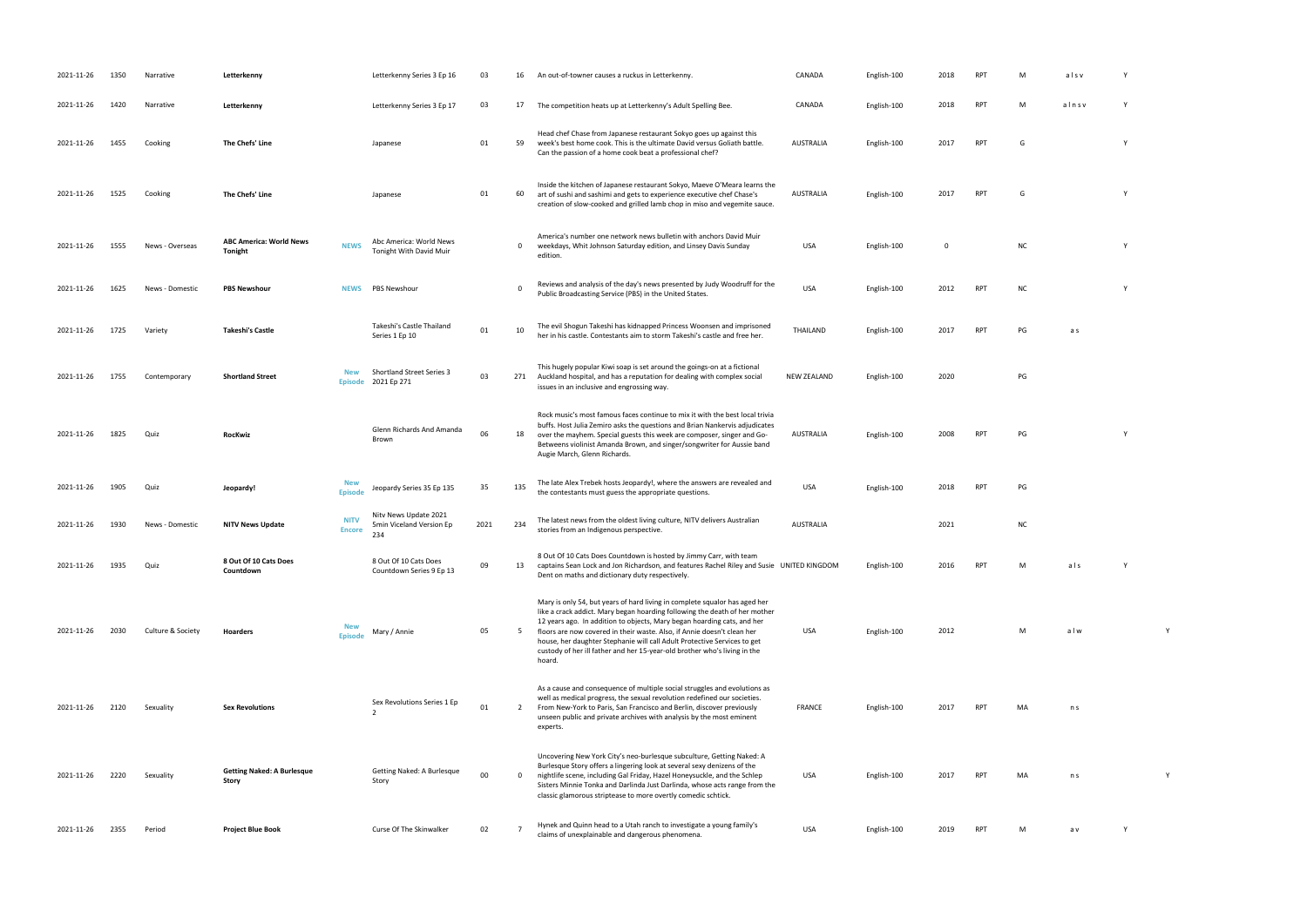| 2021-11-26 | 1350 | Narrative         | Letterkenny                                |                              | Letterkenny Series 3 Ep 16                               | 03   | 16             | An out-of-towner causes a ruckus in Letterkenny.                                                                                                                                                                                                                                                                                                                                                                                                                                  | CANADA             | English-100 | 2018        | <b>RPT</b> | M         | alsv  |  |
|------------|------|-------------------|--------------------------------------------|------------------------------|----------------------------------------------------------|------|----------------|-----------------------------------------------------------------------------------------------------------------------------------------------------------------------------------------------------------------------------------------------------------------------------------------------------------------------------------------------------------------------------------------------------------------------------------------------------------------------------------|--------------------|-------------|-------------|------------|-----------|-------|--|
| 2021-11-26 | 1420 | Narrative         | Letterkenny                                |                              | Letterkenny Series 3 Ep 17                               | 03   | 17             | The competition heats up at Letterkenny's Adult Spelling Bee.                                                                                                                                                                                                                                                                                                                                                                                                                     | CANADA             | English-100 | 2018        | <b>RPT</b> | M         | alnsv |  |
| 2021-11-26 | 1455 | Cooking           | The Chefs' Line                            |                              | Japanese                                                 | 01   | 59             | Head chef Chase from Japanese restaurant Sokyo goes up against this<br>week's best home cook. This is the ultimate David versus Goliath battle.<br>Can the passion of a home cook beat a professional chef?                                                                                                                                                                                                                                                                       | AUSTRALIA          | English-100 | 2017        | <b>RPT</b> | G         |       |  |
| 2021-11-26 | 1525 | Cooking           | The Chefs' Line                            |                              | Japanese                                                 | 01   | 60             | Inside the kitchen of Japanese restaurant Sokyo, Maeve O'Meara learns the<br>art of sushi and sashimi and gets to experience executive chef Chase's<br>creation of slow-cooked and grilled lamb chop in miso and vegemite sauce.                                                                                                                                                                                                                                                  | AUSTRALIA          | English-100 | 2017        | <b>RPT</b> | G         |       |  |
| 2021-11-26 | 1555 | News - Overseas   | <b>ABC America: World News</b><br>Tonight  | <b>NEWS</b>                  | Abc America: World News<br>Tonight With David Muir       |      | $\mathbf 0$    | America's number one network news bulletin with anchors David Muir<br>weekdays, Whit Johnson Saturday edition, and Linsey Davis Sunday<br>edition.                                                                                                                                                                                                                                                                                                                                | <b>USA</b>         | English-100 | $\mathbf 0$ |            | <b>NC</b> |       |  |
| 2021-11-26 | 1625 | News - Domestic   | <b>PBS Newshour</b>                        | <b>NEWS</b>                  | <b>PBS Newshour</b>                                      |      | $\Omega$       | Reviews and analysis of the day's news presented by Judy Woodruff for the<br>Public Broadcasting Service (PBS) in the United States.                                                                                                                                                                                                                                                                                                                                              | <b>USA</b>         | English-100 | 2012        | <b>RPT</b> | <b>NC</b> |       |  |
| 2021-11-26 | 1725 | Variety           | Takeshi's Castle                           |                              | Takeshi's Castle Thailand<br>Series 1 Ep 10              | 01   | 10             | The evil Shogun Takeshi has kidnapped Princess Woonsen and imprisoned<br>her in his castle. Contestants aim to storm Takeshi's castle and free her.                                                                                                                                                                                                                                                                                                                               | THAILAND           | English-100 | 2017        | <b>RPT</b> | PG        | a s   |  |
| 2021-11-26 | 1755 | Contemporary      | <b>Shortland Street</b>                    | <b>New</b>                   | Shortland Street Series 3<br>Episode 2021 Ep 271         | 03   | 271            | This hugely popular Kiwi soap is set around the goings-on at a fictional<br>Auckland hospital, and has a reputation for dealing with complex social<br>issues in an inclusive and engrossing way.                                                                                                                                                                                                                                                                                 | <b>NEW ZEALAND</b> | English-100 | 2020        |            | PG        |       |  |
| 2021-11-26 | 1825 | Quiz              | <b>RocKwiz</b>                             |                              | Glenn Richards And Amanda<br>Brown                       | 06   | 18             | Rock music's most famous faces continue to mix it with the best local trivia<br>buffs. Host Julia Zemiro asks the questions and Brian Nankervis adjudicates<br>over the mayhem. Special guests this week are composer, singer and Go-<br>Betweens violinist Amanda Brown, and singer/songwriter for Aussie band<br>Augie March, Glenn Richards.                                                                                                                                   | AUSTRALIA          | English-100 | 2008        | <b>RPT</b> | PG        |       |  |
| 2021-11-26 | 1905 | Quiz              | Jeopardy!                                  | <b>New</b><br><b>Episode</b> | Jeopardy Series 35 Ep 135                                | 35   | 135            | The late Alex Trebek hosts Jeopardy!, where the answers are revealed and<br>the contestants must guess the appropriate questions.                                                                                                                                                                                                                                                                                                                                                 | <b>USA</b>         | English-100 | 2018        | <b>RPT</b> | PG        |       |  |
| 2021-11-26 | 1930 | News - Domestic   | <b>NITV News Update</b>                    | <b>NITV</b><br><b>Encore</b> | Nitv News Update 2021<br>5min Viceland Version Ep<br>234 | 2021 | 234            | The latest news from the oldest living culture, NITV delivers Australian<br>stories from an Indigenous perspective.                                                                                                                                                                                                                                                                                                                                                               | <b>AUSTRALIA</b>   |             | 2021        |            | <b>NC</b> |       |  |
| 2021-11-26 | 1935 | Quiz              | 8 Out Of 10 Cats Does<br>Countdown         |                              | 8 Out Of 10 Cats Does<br>Countdown Series 9 Ep 13        | 09   | 13             | 8 Out Of 10 Cats Does Countdown is hosted by Jimmy Carr, with team<br>captains Sean Lock and Jon Richardson, and features Rachel Riley and Susie UNITED KINGDOM<br>Dent on maths and dictionary duty respectively.                                                                                                                                                                                                                                                                |                    | English-100 | 2016        |            | M         | als   |  |
| 2021-11-26 | 2030 | Culture & Society | Hoarders                                   | <b>New</b><br><b>Episode</b> | Mary / Annie                                             | 05   | 5              | Mary is only 54, but years of hard living in complete squalor has aged her<br>like a crack addict. Mary began hoarding following the death of her mother<br>12 years ago. In addition to objects, Mary began hoarding cats, and her<br>floors are now covered in their waste. Also, if Annie doesn't clean her<br>house, her daughter Stephanie will call Adult Protective Services to get<br>custody of her ill father and her 15-year-old brother who's living in the<br>hoard. | USA                | English-100 | 2012        |            | M         | alw   |  |
| 2021-11-26 | 2120 | Sexuality         | <b>Sex Revolutions</b>                     |                              | Sex Revolutions Series 1 Ep<br>$\mathcal{P}$             | 01   | $\overline{2}$ | As a cause and consequence of multiple social struggles and evolutions as<br>well as medical progress, the sexual revolution redefined our societies.<br>From New-York to Paris, San Francisco and Berlin, discover previously<br>unseen public and private archives with analysis by the most eminent<br>experts.                                                                                                                                                                | <b>FRANCE</b>      | English-100 | 2017        | <b>RPT</b> | MA        | n s   |  |
| 2021-11-26 | 2220 | Sexuality         | <b>Getting Naked: A Burlesque</b><br>Story |                              | Getting Naked: A Burlesque<br>Story                      | 00   | $\mathbf 0$    | Uncovering New York City's neo-burlesque subculture, Getting Naked: A<br>Burlesque Story offers a lingering look at several sexy denizens of the<br>nightlife scene, including Gal Friday, Hazel Honeysuckle, and the Schlep<br>Sisters Minnie Tonka and Darlinda Just Darlinda, whose acts range from the<br>classic glamorous striptease to more overtly comedic schtick.                                                                                                       | USA                | English-100 | 2017        | <b>RPT</b> | MA        | n s   |  |
| 2021-11-26 | 2355 | Period            | <b>Project Blue Book</b>                   |                              | Curse Of The Skinwalker                                  | 02   | $\overline{7}$ | Hynek and Quinn head to a Utah ranch to investigate a young family's<br>claims of unexplainable and dangerous phenomena.                                                                                                                                                                                                                                                                                                                                                          | USA                | English-100 | 2019        | <b>RPT</b> | M         | a v   |  |

- 
- 
- RPT G Y
	-
- AUSTRALIA English-100 2017 RPT G Y
	- NC Y
	- PUBLIC BROADCASTING STATES. USA ENGLISH-100 2012 RPT NC Y
- her in his castle. Contestants and free her. The storm Takeshijo and free her. The storm Takeshijo and free he<br>Thailand free her. The storm Takeshijo and free her. The storm Takeshijo and free her. The storm Takeshijo and<br>
	-
	-
- RPT PG Y
	-
- the contest the appropriate pg
- RPT M als Y
	-
	- USA English-100 2012 M a l w Y Y V
	-
	- PT MA n s
	- PH MA n s Y
		-
	- claims of unexplanable and dangerous phenomena. USA English-100 2019 RPT M a v Y V V V V V V V V V V V V V V V
- 
- 
- 
- 
- 
- 
- 
- 
- 
- 
- 
- 
- 
- 
-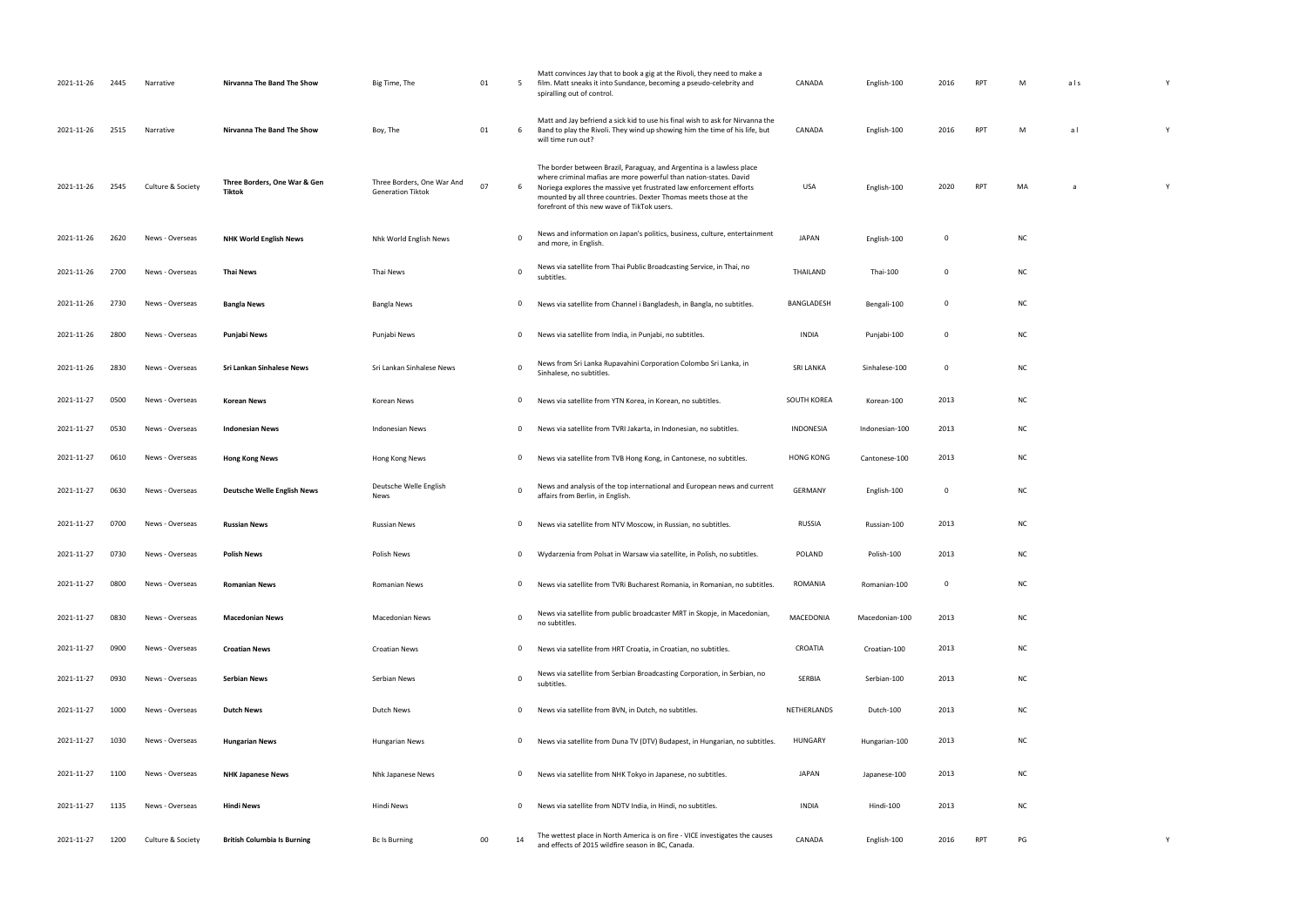| 2021-11-26 | 2445 | Narrative         | Nirvanna The Band The Show             | Big Time, The                                          | 01 | 5            | Matt convinces Jay that to book a gig at the Rivoli, they need to make a<br>film. Matt sneaks it into Sundance, becoming a pseudo-celebrity and<br>spiralling out of control.                                                                                                                                                        | CANADA           | English-100    | 2016        | RPT        | M         | als | Y |  |
|------------|------|-------------------|----------------------------------------|--------------------------------------------------------|----|--------------|--------------------------------------------------------------------------------------------------------------------------------------------------------------------------------------------------------------------------------------------------------------------------------------------------------------------------------------|------------------|----------------|-------------|------------|-----------|-----|---|--|
| 2021-11-26 | 2515 | Narrative         | Nirvanna The Band The Show             | Boy, The                                               | 01 | 6            | Matt and Jay befriend a sick kid to use his final wish to ask for Nirvanna the<br>Band to play the Rivoli. They wind up showing him the time of his life, but<br>will time run out?                                                                                                                                                  | CANADA           | English-100    | 2016        | <b>RPT</b> | M         | a l | Y |  |
| 2021-11-26 | 2545 | Culture & Society | Three Borders, One War & Gen<br>Tiktok | Three Borders, One War And<br><b>Generation Tiktok</b> | 07 | 6            | The border between Brazil, Paraguay, and Argentina is a lawless place<br>where criminal mafias are more powerful than nation-states. David<br>Noriega explores the massive yet frustrated law enforcement efforts<br>mounted by all three countries. Dexter Thomas meets those at the<br>forefront of this new wave of TikTok users. | USA              | English-100    | 2020        | RPT        | MA        | a   | Y |  |
| 2021-11-26 | 2620 | News - Overseas   | <b>NHK World English News</b>          | Nhk World English News                                 |    | 0            | News and information on Japan's politics, business, culture, entertainment<br>and more, in English.                                                                                                                                                                                                                                  | <b>JAPAN</b>     | English-100    | 0           |            | NC        |     |   |  |
| 2021-11-26 | 2700 | News - Overseas   | Thai News                              | Thai News                                              |    | $\mathbf 0$  | News via satellite from Thai Public Broadcasting Service, in Thai, no<br>subtitles.                                                                                                                                                                                                                                                  | THAILAND         | Thai-100       | 0           |            | <b>NC</b> |     |   |  |
| 2021-11-26 | 2730 | News - Overseas   | <b>Bangla News</b>                     | Bangla News                                            |    | $\mathbf 0$  | News via satellite from Channel i Bangladesh, in Bangla, no subtitles.                                                                                                                                                                                                                                                               | BANGLADESH       | Bengali-100    | $\mathbf 0$ |            | <b>NC</b> |     |   |  |
| 2021-11-26 | 2800 | News - Overseas   | Punjabi News                           | Punjabi News                                           |    | $\mathbf{0}$ | News via satellite from India, in Punjabi, no subtitles.                                                                                                                                                                                                                                                                             | INDIA            | Punjabi-100    | $\mathbf 0$ |            | <b>NC</b> |     |   |  |
| 2021-11-26 | 2830 | News - Overseas   | Sri Lankan Sinhalese News              | Sri Lankan Sinhalese News                              |    | $\mathbf 0$  | News from Sri Lanka Rupavahini Corporation Colombo Sri Lanka, in<br>Sinhalese, no subtitles.                                                                                                                                                                                                                                         | <b>SRI LANKA</b> | Sinhalese-100  | $\mathbf 0$ |            | <b>NC</b> |     |   |  |
| 2021-11-27 | 0500 | News - Overseas   | Korean News                            | Korean News                                            |    | $\mathbf{0}$ | News via satellite from YTN Korea, in Korean, no subtitles.                                                                                                                                                                                                                                                                          | SOUTH KOREA      | Korean-100     | 2013        |            | <b>NC</b> |     |   |  |
| 2021-11-27 | 0530 | News - Overseas   | <b>Indonesian News</b>                 | Indonesian News                                        |    | $\mathbf{0}$ | News via satellite from TVRI Jakarta, in Indonesian, no subtitles.                                                                                                                                                                                                                                                                   | INDONESIA        | Indonesian-100 | 2013        |            | <b>NC</b> |     |   |  |
| 2021-11-27 | 0610 | News - Overseas   | <b>Hong Kong News</b>                  | Hong Kong News                                         |    | $\mathbf{0}$ | News via satellite from TVB Hong Kong, in Cantonese, no subtitles.                                                                                                                                                                                                                                                                   | <b>HONG KONG</b> | Cantonese-100  | 2013        |            | <b>NC</b> |     |   |  |
| 2021-11-27 | 0630 | News - Overseas   | <b>Deutsche Welle English News</b>     | Deutsche Welle English<br>News                         |    | $\Omega$     | News and analysis of the top international and European news and current<br>affairs from Berlin, in English.                                                                                                                                                                                                                         | GERMANY          | English-100    | $\mathbf 0$ |            | <b>NC</b> |     |   |  |
| 2021-11-27 | 0700 | News - Overseas   | <b>Russian News</b>                    | <b>Russian News</b>                                    |    | $\mathbf{0}$ | News via satellite from NTV Moscow, in Russian, no subtitles.                                                                                                                                                                                                                                                                        | <b>RUSSIA</b>    | Russian-100    | 2013        |            | <b>NC</b> |     |   |  |
| 2021-11-27 | 0730 | News - Overseas   | <b>Polish News</b>                     | Polish News                                            |    | $\mathbf{0}$ | Wydarzenia from Polsat in Warsaw via satellite, in Polish, no subtitles.                                                                                                                                                                                                                                                             | POLAND           | Polish-100     | 2013        |            | <b>NC</b> |     |   |  |
| 2021-11-27 | 0800 | News - Overseas   | <b>Romanian News</b>                   | <b>Romanian News</b>                                   |    | $\mathbf 0$  | News via satellite from TVRi Bucharest Romania, in Romanian, no subtitles.                                                                                                                                                                                                                                                           | ROMANIA          | Romanian-100   | 0           |            | NC        |     |   |  |
| 2021-11-27 | 0830 | News - Overseas   | <b>Macedonian News</b>                 | <b>Macedonian News</b>                                 |    | $\Omega$     | News via satellite from public broadcaster MRT in Skopje, in Macedonian,<br>no subtitles.                                                                                                                                                                                                                                            | MACEDONIA        | Macedonian-100 | 2013        |            | <b>NC</b> |     |   |  |
| 2021-11-27 | 0900 | News - Overseas   | <b>Croatian News</b>                   | <b>Croatian News</b>                                   |    | $\mathbf{0}$ | News via satellite from HRT Croatia, in Croatian, no subtitles.                                                                                                                                                                                                                                                                      | CROATIA          | Croatian-100   | 2013        |            | <b>NC</b> |     |   |  |
| 2021-11-27 | 0930 | News - Overseas   | Serbian News                           | Serbian News                                           |    | $\mathbf 0$  | News via satellite from Serbian Broadcasting Corporation, in Serbian, no<br>subtitles.                                                                                                                                                                                                                                               | SERBIA           | Serbian-100    | 2013        |            | <b>NC</b> |     |   |  |
| 2021-11-27 | 1000 | News - Overseas   | <b>Dutch News</b>                      | Dutch News                                             |    | $\mathbf 0$  | News via satellite from BVN, in Dutch, no subtitles.                                                                                                                                                                                                                                                                                 | NETHERLANDS      | Dutch-100      | 2013        |            | <b>NC</b> |     |   |  |
| 2021-11-27 | 1030 | News - Overseas   | <b>Hungarian News</b>                  | <b>Hungarian News</b>                                  |    | $\mathbf{0}$ | News via satellite from Duna TV (DTV) Budapest, in Hungarian, no subtitles                                                                                                                                                                                                                                                           | <b>HUNGARY</b>   | Hungarian-100  | 2013        |            | <b>NC</b> |     |   |  |
| 2021-11-27 | 1100 | News - Overseas   | <b>NHK Japanese News</b>               | Nhk Japanese News                                      |    | $\mathbf{0}$ | News via satellite from NHK Tokyo in Japanese, no subtitles.                                                                                                                                                                                                                                                                         | JAPAN            | Japanese-100   | 2013        |            | <b>NC</b> |     |   |  |
| 2021-11-27 | 1135 | News - Overseas   | Hindi News                             | Hindi News                                             |    | $\mathbf{0}$ | News via satellite from NDTV India, in Hindi, no subtitles.                                                                                                                                                                                                                                                                          | INDIA            | Hindi-100      | 2013        |            | <b>NC</b> |     |   |  |
| 2021-11-27 | 1200 | Culture & Society | <b>British Columbia Is Burning</b>     | <b>Bc Is Burning</b>                                   | 00 | 14           | The wettest place in North America is on fire - VICE investigates the causes<br>and effects of 2015 wildfire season in BC, Canada.                                                                                                                                                                                                   | CANADA           | English-100    | 2016        | <b>RPT</b> | PG        |     | Y |  |

| $\mathsf{M}$ | als            | Y |
|--------------|----------------|---|
| $\mathsf{M}$ | a <sub>l</sub> | Y |
| MA           | a              | Y |
| NC           |                |   |
| NC           |                |   |
| NC           |                |   |
| NC           |                |   |
| NC           |                |   |
| NC           |                |   |
| NC           |                |   |
| NC           |                |   |
| NC           |                |   |
| NC           |                |   |
| NC           |                |   |
| NC           |                |   |
| NC<br>NC     |                |   |
| NC           |                |   |
| NC           |                |   |
| NC           |                |   |
| NC           |                |   |
| NC           |                |   |
|              |                |   |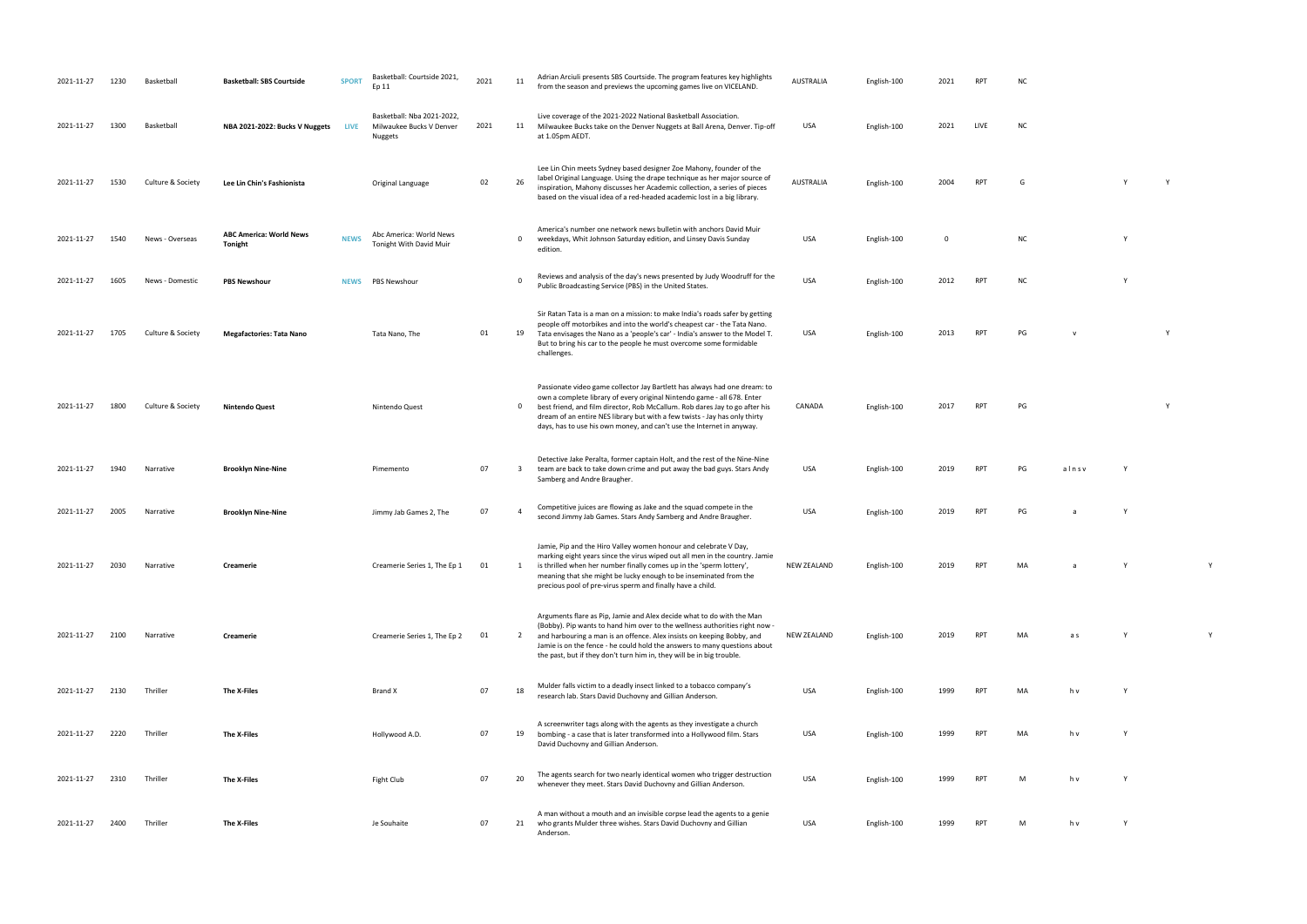- USA English-100 2021 LIVE NC
- RPT G Y Y Y
- NC Y
- PT NC NC
- PO 2013 RPT PG v Y
	-
- RPT PG Y
	-
- RPT PG alnsv Y
- second Jab Games. Stars Andre Braugher. Stars Andre Braugher. Stars Andre Braugher. USA English-100 2019 RPT P<br>The Samberg and Andre Braugher. USA English-100 2019 RPT PG a Yuli Andre Braugher. USA English-100 2019 RPT PG
- $R$ PT MA a Y Y Y Y
	-
	-
- research lab. Stars David Duchovny and Gillian Anderson. USA English-100 <sup>1999</sup> RPT MA h v Y PT MA h v Y
	-
- PT M h v Y

| 2021-11-27 | 1230 | Basketball        | <b>Basketball: SBS Courtside</b>          | <b>SPORT</b> | Basketball: Courtside 2021,<br>Ep 11                              | 2021 | 11                      | Adrian Arciuli presents SBS Courtside. The program features key highlights<br>from the season and previews the upcoming games live on VICELAND.                                                                                                                                                                                                                                            | AUSTRALIA          | English-100 | 2021        | RPT        | ΝC        |             |  |
|------------|------|-------------------|-------------------------------------------|--------------|-------------------------------------------------------------------|------|-------------------------|--------------------------------------------------------------------------------------------------------------------------------------------------------------------------------------------------------------------------------------------------------------------------------------------------------------------------------------------------------------------------------------------|--------------------|-------------|-------------|------------|-----------|-------------|--|
| 2021-11-27 | 1300 | Basketball        | NBA 2021-2022: Bucks V Nuggets            | LIVE         | Basketball: Nba 2021-2022,<br>Milwaukee Bucks V Denver<br>Nuggets | 2021 | 11                      | Live coverage of the 2021-2022 National Basketball Association.<br>Milwaukee Bucks take on the Denver Nuggets at Ball Arena, Denver. Tip-off<br>at 1.05pm AEDT.                                                                                                                                                                                                                            | USA                | English-100 | 2021        | LIVE       | <b>NC</b> |             |  |
| 2021-11-27 | 1530 | Culture & Society | Lee Lin Chin's Fashionista                |              | Original Language                                                 | 02   | 26                      | Lee Lin Chin meets Sydney based designer Zoe Mahony, founder of the<br>label Original Language. Using the drape technique as her major source of<br>inspiration, Mahony discusses her Academic collection, a series of pieces<br>based on the visual idea of a red-headed academic lost in a big library.                                                                                  | AUSTRALIA          | English-100 | 2004        | <b>RPT</b> | G         |             |  |
| 2021-11-27 | 1540 | News - Overseas   | <b>ABC America: World News</b><br>Tonight | <b>NEWS</b>  | Abc America: World News<br>Tonight With David Muir                |      | $\mathbf 0$             | America's number one network news bulletin with anchors David Muir<br>weekdays, Whit Johnson Saturday edition, and Linsey Davis Sunday<br>edition.                                                                                                                                                                                                                                         | USA                | English-100 | $\mathbf 0$ |            | <b>NC</b> |             |  |
| 2021-11-27 | 1605 | News - Domestic   | <b>PBS Newshour</b>                       | <b>NEWS</b>  | PBS Newshour                                                      |      | $\Omega$                | Reviews and analysis of the day's news presented by Judy Woodruff for the<br>Public Broadcasting Service (PBS) in the United States.                                                                                                                                                                                                                                                       | <b>USA</b>         | English-100 | 2012        | RPT        | <b>NC</b> |             |  |
| 2021-11-27 | 1705 | Culture & Society | <b>Megafactories: Tata Nano</b>           |              | Tata Nano, The                                                    | 01   | 19                      | Sir Ratan Tata is a man on a mission: to make India's roads safer by getting<br>people off motorbikes and into the world's cheapest car - the Tata Nano.<br>Tata envisages the Nano as a 'people's car' - India's answer to the Model T.<br>But to bring his car to the people he must overcome some formidable<br>challenges.                                                             | USA                | English-100 | 2013        | <b>RPT</b> | PG        | $\mathbf v$ |  |
| 2021-11-27 | 1800 | Culture & Society | Nintendo Quest                            |              | Nintendo Quest                                                    |      | $\mathbf{0}$            | Passionate video game collector Jay Bartlett has always had one dream: to<br>own a complete library of every original Nintendo game - all 678. Enter<br>best friend, and film director, Rob McCallum. Rob dares Jay to go after his<br>dream of an entire NES library but with a few twists - Jay has only thirty<br>days, has to use his own money, and can't use the Internet in anyway. | CANADA             | English-100 | 2017        | <b>RPT</b> | PG        |             |  |
| 2021-11-27 | 1940 | Narrative         | <b>Brooklyn Nine-Nine</b>                 |              | Pimemento                                                         | 07   | $\overline{\mathbf{3}}$ | Detective Jake Peralta, former captain Holt, and the rest of the Nine-Nine<br>team are back to take down crime and put away the bad guys. Stars Andy<br>Samberg and Andre Braugher.                                                                                                                                                                                                        | USA                | English-100 | 2019        | <b>RPT</b> | PG        | alnsv       |  |
| 2021-11-27 | 2005 | Narrative         | <b>Brooklyn Nine-Nine</b>                 |              | Jimmy Jab Games 2, The                                            | 07   | $\overline{a}$          | Competitive juices are flowing as Jake and the squad compete in the<br>second Jimmy Jab Games. Stars Andy Samberg and Andre Braugher.                                                                                                                                                                                                                                                      | USA                | English-100 | 2019        | <b>RPT</b> | PG        |             |  |
| 2021-11-27 | 2030 | Narrative         | Creamerie                                 |              | Creamerie Series 1, The Ep 1                                      | 01   | <sup>1</sup>            | Jamie, Pip and the Hiro Valley women honour and celebrate V Day,<br>marking eight years since the virus wiped out all men in the country. Jamie<br>is thrilled when her number finally comes up in the 'sperm lottery',<br>meaning that she might be lucky enough to be inseminated from the<br>precious pool of pre-virus sperm and finally have a child.                                 | <b>NEW ZEALAND</b> | English-100 | 2019        | <b>RPT</b> | MA        |             |  |
| 2021-11-27 | 2100 | Narrative         | Creamerie                                 |              | Creamerie Series 1, The Ep 2                                      | 01   | $\overline{2}$          | Arguments flare as Pip, Jamie and Alex decide what to do with the Man<br>(Bobby). Pip wants to hand him over to the wellness authorities right now<br>and harbouring a man is an offence. Alex insists on keeping Bobby, and<br>Jamie is on the fence - he could hold the answers to many questions about<br>the past, but if they don't turn him in, they will be in big trouble.         | <b>NEW ZEALAND</b> | English-100 | 2019        | <b>RPT</b> | MA        | a s         |  |
| 2021-11-27 | 2130 | Thriller          | The X-Files                               |              | Brand X                                                           | 07   | 18                      | Mulder falls victim to a deadly insect linked to a tobacco company's<br>research lab. Stars David Duchovny and Gillian Anderson.                                                                                                                                                                                                                                                           | USA                | English-100 | 1999        | <b>RPT</b> | MA        | h v         |  |
| 2021-11-27 | 2220 | Thriller          | The X-Files                               |              | Hollywood A.D.                                                    | 07   | 19                      | A screenwriter tags along with the agents as they investigate a church<br>bombing - a case that is later transformed into a Hollywood film. Stars<br>David Duchovny and Gillian Anderson.                                                                                                                                                                                                  | USA                | English-100 | 1999        | <b>RPT</b> | MA        | h v         |  |
| 2021-11-27 | 2310 | Thriller          | The X-Files                               |              | Fight Club                                                        | 07   | 20                      | The agents search for two nearly identical women who trigger destruction<br>whenever they meet. Stars David Duchovny and Gillian Anderson.                                                                                                                                                                                                                                                 | USA                | English-100 | 1999        | <b>RPT</b> | M         | h v         |  |
| 2021-11-27 | 2400 | Thriller          | The X-Files                               |              | Je Souhaite                                                       | 07   | 21                      | A man without a mouth and an invisible corpse lead the agents to a genie<br>who grants Mulder three wishes. Stars David Duchovny and Gillian<br>Anderson.                                                                                                                                                                                                                                  | USA                | English-100 | 1999        | <b>RPT</b> | M         | h v         |  |

- 
- 
- 
- 
- 
- 
- 
- NEW ZEALAND English-100 2019 RPT MA a s Y Y
	-
	-
	-